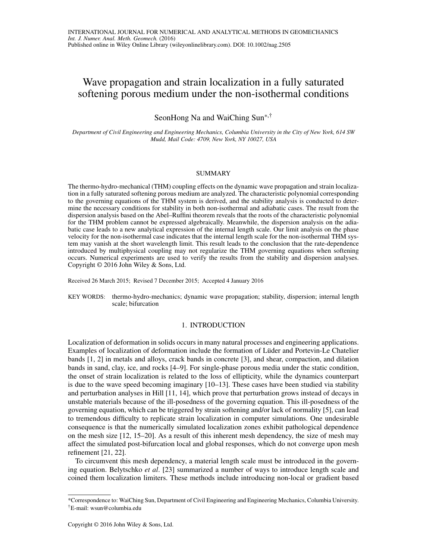# Wave propagation and strain localization in a fully saturated softening porous medium under the non-isothermal conditions

SeonHong Na and WaiChing Sun\*,†

*Department of Civil Engineering and Engineering Mechanics, Columbia University in the City of New York, 614 SW Mudd, Mail Code: 4709, New York, NY 10027, USA*

## SUMMARY

The thermo-hydro-mechanical (THM) coupling effects on the dynamic wave propagation and strain localization in a fully saturated softening porous medium are analyzed. The characteristic polynomial corresponding to the governing equations of the THM system is derived, and the stability analysis is conducted to determine the necessary conditions for stability in both non-isothermal and adiabatic cases. The result from the dispersion analysis based on the Abel–Ruffini theorem reveals that the roots of the characteristic polynomial for the THM problem cannot be expressed algebraically. Meanwhile, the dispersion analysis on the adiabatic case leads to a new analytical expression of the internal length scale. Our limit analysis on the phase velocity for the non-isothermal case indicates that the internal length scale for the non-isothermal THM system may vanish at the short wavelength limit. This result leads to the conclusion that the rate-dependence introduced by multiphysical coupling may not regularize the THM governing equations when softening occurs. Numerical experiments are used to verify the results from the stability and dispersion analyses. Copyright © 2016 John Wiley & Sons, Ltd.

Received 26 March 2015; Revised 7 December 2015; Accepted 4 January 2016

KEY WORDS: thermo-hydro-mechanics; dynamic wave propagation; stability, dispersion; internal length scale; bifurcation

## 1. INTRODUCTION

Localization of deformation in solids occurs in many natural processes and engineering applications. Examples of localization of deformation include the formation of Lüder and Portevin-Le Chatelier bands [1, 2] in metals and alloys, crack bands in concrete [3], and shear, compaction, and dilation bands in sand, clay, ice, and rocks [4–9]. For single-phase porous media under the static condition, the onset of strain localization is related to the loss of ellipticity, while the dynamics counterpart is due to the wave speed becoming imaginary [10–13]. These cases have been studied via stability and perturbation analyses in Hill [11, 14], which prove that perturbation grows instead of decays in unstable materials because of the ill-posedness of the governing equation. This ill-posedness of the governing equation, which can be triggered by strain softening and/or lack of normality [5], can lead to tremendous difficulty to replicate strain localization in computer simulations. One undesirable consequence is that the numerically simulated localization zones exhibit pathological dependence on the mesh size [12, 15–20]. As a result of this inherent mesh dependency, the size of mesh may affect the simulated post-bifurcation local and global responses, which do not converge upon mesh refinement [21, 22].

To circumvent this mesh dependency, a material length scale must be introduced in the governing equation. Belytschko *et al*. [23] summarized a number of ways to introduce length scale and coined them localization limiters. These methods include introducing non-local or gradient based

<sup>\*</sup>Correspondence to: WaiChing Sun, Department of Civil Engineering and Engineering Mechanics, Columbia University. †E-mail: wsun@columbia.edu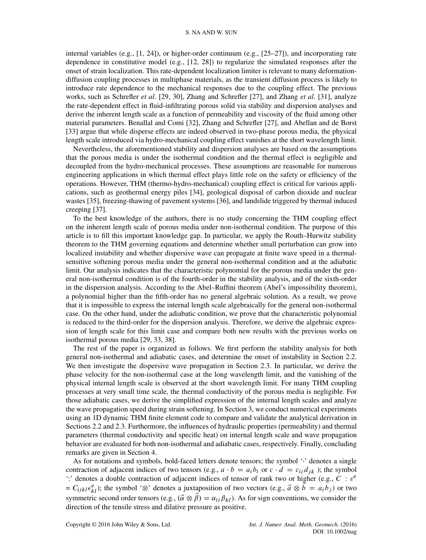internal variables (e.g., [1, 24]), or higher-order continuum (e.g., [25–27]), and incorporating rate dependence in constitutive model (e.g., [12, 28]) to regularize the simulated responses after the onset of strain localization. This rate-dependent localization limiter is relevant to many deformationdiffusion coupling processes in multiphase materials, as the transient diffusion process is likely to introduce rate dependence to the mechanical responses due to the coupling effect. The previous works, such as Schrefler *et al*. [29, 30], Zhang and Schrefler [27], and Zhang *et al*. [31], analyze the rate-dependent effect in fluid-infiltrating porous solid via stability and dispersion analyses and derive the inherent length scale as a function of permeability and viscosity of the fluid among other material parameters. Benallal and Comi [32], Zhang and Schrefler [27], and Abellan and de Borst [33] argue that while disperse effects are indeed observed in two-phase porous media, the physical length scale introduced via hydro-mechanical coupling effect vanishes at the short wavelength limit.

Nevertheless, the aforementioned stability and dispersion analyses are based on the assumptions that the porous media is under the isothermal condition and the thermal effect is negligible and decoupled from the hydro-mechanical processes. These assumptions are reasonable for numerous engineering applications in which thermal effect plays little role on the safety or efficiency of the operations. However, THM (thermo-hydro-mechanical) coupling effect is critical for various applications, such as geothermal energy piles [34], geological disposal of carbon dioxide and nuclear wastes [35], freezing-thawing of pavement systems [36], and landslide triggered by thermal induced creeping [37].

To the best knowledge of the authors, there is no study concerning the THM coupling effect on the inherent length scale of porous media under non-isothermal condition. The purpose of this article is to fill this important knowledge gap. In particular, we apply the Routh–Hurwitz stability theorem to the THM governing equations and determine whether small perturbation can grow into localized instability and whether dispersive wave can propagate at finite wave speed in a thermalsensitive softening porous media under the general non-isothermal condition and at the adiabatic limit. Our analysis indicates that the characteristic polynomial for the porous media under the general non-isothermal condition is of the fourth-order in the stability analysis, and of the sixth-order in the dispersion analysis. According to the Abel–Ruffini theorem (Abel's impossibility theorem), a polynomial higher than the fifth-order has no general algebraic solution. As a result, we prove that it is impossible to express the internal length scale algebraically for the general non-isothermal case. On the other hand, under the adiabatic condition, we prove that the characteristic polynomial is reduced to the third-order for the dispersion analysis. Therefore, we derive the algebraic expression of length scale for this limit case and compare both new results with the previous works on isothermal porous media [29, 33, 38].

The rest of the paper is organized as follows. We first perform the stability analysis for both general non-isothermal and adiabatic cases, and determine the onset of instability in Section 2.2. We then investigate the dispersive wave propagation in Section 2.3. In particular, we derive the phase velocity for the non-isothermal case at the long wavelength limit, and the vanishing of the physical internal length scale is observed at the short wavelength limit. For many THM coupling processes at very small time scale, the thermal conductivity of the porous media is negligible. For those adiabatic cases, we derive the simplified expression of the internal length scales and analyze the wave propagation speed during strain softening. In Section 3, we conduct numerical experiments using an 1D dynamic THM finite element code to compare and validate the analytical derivation in Sections 2.2 and 2.3. Furthermore, the influences of hydraulic properties (permeability) and thermal parameters (thermal conductivity and specific heat) on internal length scale and wave propagation behavior are evaluated for both non-isothermal and adiabatic cases, respectively. Finally, concluding remarks are given in Section 4.

As for notations and symbols, bold-faced letters denote tensors; the symbol " denotes a single contraction of adjacent indices of two tensors (e.g.,  $a \cdot b = a_i b_i$  or  $c \cdot d = c_{ij} d_{jk}$ ); the symbol ':' denotes a double contraction of adjacent indices of tensor of rank two or higher (e.g.,  $C : \varepsilon^e$  $= C_{ijkl} \epsilon_{kl}^e$ ); the symbol ' $\otimes$ ' denotes a juxtaposition of two vectors (e.g.,  $\vec{a} \otimes \vec{b} = a_i b_j$ ) or two symmetric second order tensors (e.g.,  $(\vec{\alpha} \otimes \vec{\beta}) = \alpha_{ij} \beta_{kl}$ ). As for sign conventions, we consider the direction of the tensile stress and dilative pressure as positive.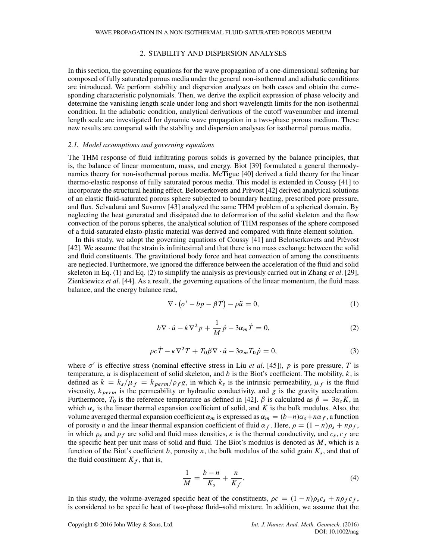# 2. STABILITY AND DISPERSION ANALYSES

In this section, the governing equations for the wave propagation of a one-dimensional softening bar composed of fully saturated porous media under the general non-isothermal and adiabatic conditions are introduced. We perform stability and dispersion analyses on both cases and obtain the corresponding characteristic polynomials. Then, we derive the explicit expression of phase velocity and determine the vanishing length scale under long and short wavelength limits for the non-isothermal condition. In the adiabatic condition, analytical derivations of the cutoff wavenumber and internal length scale are investigated for dynamic wave propagation in a two-phase porous medium. These new results are compared with the stability and dispersion analyses for isothermal porous media.

### *2.1. Model assumptions and governing equations*

The THM response of fluid infiltrating porous solids is governed by the balance principles, that is, the balance of linear momentum, mass, and energy. Biot [39] formulated a general thermodynamics theory for non-isothermal porous media. McTigue [40] derived a field theory for the linear thermo-elastic response of fully saturated porous media. This model is extended in Coussy [41] to incorporate the structural heating effect. Belotserkovets and Prèvost [42] derived analytical solutions of an elastic fluid-saturated porous sphere subjected to boundary heating, prescribed pore pressure, and flux. Selvadurai and Suvorov [43] analyzed the same THM problem of a spherical domain. By neglecting the heat generated and dissipated due to deformation of the solid skeleton and the flow convection of the porous spheres, the analytical solution of THM responses of the sphere composed of a fluid-saturated elasto-plastic material was derived and compared with finite element solution.

In this study, we adopt the governing equations of Coussy [41] and Belotserkovets and Prèvost [42]. We assume that the strain is infinitesimal and that there is no mass exchange between the solid and fluid constituents. The gravitational body force and heat convection of among the constituents are neglected. Furthermore, we ignored the difference between the acceleration of the fluid and solid skeleton in Eq. (1) and Eq. (2) to simplify the analysis as previously carried out in Zhang *et al*. [29], Zienkiewicz *et al*. [44]. As a result, the governing equations of the linear momentum, the fluid mass balance, and the energy balance read,

$$
\nabla \cdot (\sigma' - bp - \beta T) - \rho \ddot{u} = 0,\tag{1}
$$

$$
b\nabla \cdot \dot{u} - k\nabla^2 p + \frac{1}{M}\dot{p} - 3\alpha_m \dot{T} = 0,
$$
\n(2)

$$
\rho c \dot{T} - \kappa \nabla^2 T + T_0 \beta \nabla \cdot \dot{u} - 3\alpha_m T_0 \dot{p} = 0,
$$
\n(3)

where  $\sigma'$  is effective stress (nominal effective stress in Liu *et al.* [45]), p is pore pressure, T is temperature,  $u$  is displacement of solid skeleton, and  $b$  is the Biot's coefficient. The mobility,  $k$ , is defined as  $k = k_s/\mu_f = k_{perm}/\rho_f g$ , in which  $k_s$  is the intrinsic permeability,  $\mu_f$  is the fluid viscosity,  $k_{perm}$  is the permeability or hydraulic conductivity, and g is the gravity acceleration. Furthermore,  $T_0$  is the reference temperature as defined in [42].  $\beta$  is calculated as  $\beta = 3\alpha_s K$ , in which  $\alpha_s$  is the linear thermal expansion coefficient of solid, and K is the bulk modulus. Also, the volume averaged thermal expansion coefficient  $\alpha_m$  is expressed as  $\alpha_m = (b-n)\alpha_s+n\alpha_f$ , a function of porosity n and the linear thermal expansion coefficient of fluid  $\alpha_f$ . Here,  $\rho = (1 - n)\rho_s + n\rho_f$ , in which  $\rho_s$  and  $\rho_f$  are solid and fluid mass densities,  $\kappa$  is the thermal conductivity, and  $c_s$ ,  $c_f$  are the specific heat per unit mass of solid and fluid. The Biot's modulus is denoted as  $M$ , which is a function of the Biot's coefficient b, porosity n, the bulk modulus of the solid grain  $K_s$ , and that of the fluid constituent  $K_f$ , that is,

$$
\frac{1}{M} = \frac{b-n}{K_s} + \frac{n}{K_f}.\tag{4}
$$

In this study, the volume-averaged specific heat of the constituents,  $\rho c = (1 - n)\rho_s c_s + n\rho_f c_f$ , is considered to be specific heat of two-phase fluid–solid mixture. In addition, we assume that the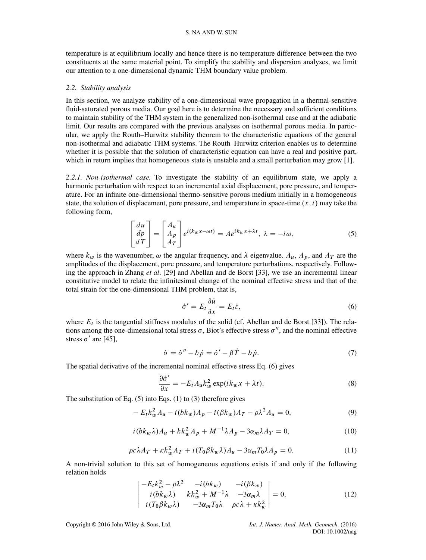temperature is at equilibrium locally and hence there is no temperature difference between the two constituents at the same material point. To simplify the stability and dispersion analyses, we limit our attention to a one-dimensional dynamic THM boundary value problem.

#### *2.2. Stability analysis*

In this section, we analyze stability of a one-dimensional wave propagation in a thermal-sensitive fluid-saturated porous media. Our goal here is to determine the necessary and sufficient conditions to maintain stability of the THM system in the generalized non-isothermal case and at the adiabatic limit. Our results are compared with the previous analyses on isothermal porous media. In particular, we apply the Routh–Hurwitz stability theorem to the characteristic equations of the general non-isothermal and adiabatic THM systems. The Routh–Hurwitz criterion enables us to determine whether it is possible that the solution of characteristic equation can have a real and positive part, which in return implies that homogeneous state is unstable and a small perturbation may grow [1].

*2.2.1. Non-isothermal case.* To investigate the stability of an equilibrium state, we apply a harmonic perturbation with respect to an incremental axial displacement, pore pressure, and temperature. For an infinite one-dimensional thermo-sensitive porous medium initially in a homogeneous state, the solution of displacement, pore pressure, and temperature in space-time  $(x, t)$  may take the following form,

$$
\begin{bmatrix} du \\ dp \\ dT \end{bmatrix} = \begin{bmatrix} A_u \\ A_p \\ A_T \end{bmatrix} e^{i(k_w x - \omega t)} = A e^{ik_w x + \lambda t}, \ \lambda = -i\omega,
$$
 (5)

where  $k_w$  is the wavenumber,  $\omega$  the angular frequency, and  $\lambda$  eigenvalue.  $A_u$ ,  $A_p$ , and  $A_T$  are the amplitudes of the displacement, pore pressure, and temperature perturbations, respectively. Following the approach in Zhang *et al*. [29] and Abellan and de Borst [33], we use an incremental linear constitutive model to relate the infinitesimal change of the nominal effective stress and that of the total strain for the one-dimensional THM problem, that is,

$$
\dot{\sigma}' = E_t \frac{\partial \dot{u}}{\partial x} = E_t \dot{\varepsilon},\tag{6}
$$

where  $E_t$  is the tangential stiffness modulus of the solid (cf. Abellan and de Borst [33]). The relations among the one-dimensional total stress  $\sigma$ , Biot's effective stress  $\sigma''$ , and the nominal effective stress  $\sigma'$  are [45],

$$
\dot{\sigma} = \dot{\sigma}'' - b\,\dot{p} = \dot{\sigma}' - \beta\,\dot{T} - b\,\dot{p}.\tag{7}
$$

The spatial derivative of the incremental nominal effective stress Eq. (6) gives

$$
\frac{\partial \dot{\sigma}'}{\partial x} = -E_t A_u k_w^2 \exp(ik_w x + \lambda t). \tag{8}
$$

The substitution of Eq.  $(5)$  into Eqs.  $(1)$  to  $(3)$  therefore gives

$$
-E_t k_w^2 A_u - i(b k_w) A_p - i(\beta k_w) A_T - \rho \lambda^2 A_u = 0,
$$
\n(9)

$$
i(bk_w\lambda)A_u + kk_w^2A_p + M^{-1}\lambda A_p - 3\alpha_m\lambda A_T = 0,
$$
\n(10)

$$
\rho c \lambda A_T + \kappa k_w^2 A_T + i (T_0 \beta k_w \lambda) A_u - 3 \alpha_m T_0 \lambda A_p = 0. \tag{11}
$$

A non-trivial solution to this set of homogeneous equations exists if and only if the following relation holds

$$
\begin{vmatrix}\n-E_t k_w^2 - \rho \lambda^2 & -i(bk_w) & -i(\beta k_w) \\
i(bk_w \lambda) & k k_w^2 + M^{-1} \lambda & -3\alpha_m \lambda \\
i(T_0 \beta k_w \lambda) & -3\alpha_m T_0 \lambda & \rho c \lambda + \kappa k_w^2\n\end{vmatrix} = 0,
$$
\n(12)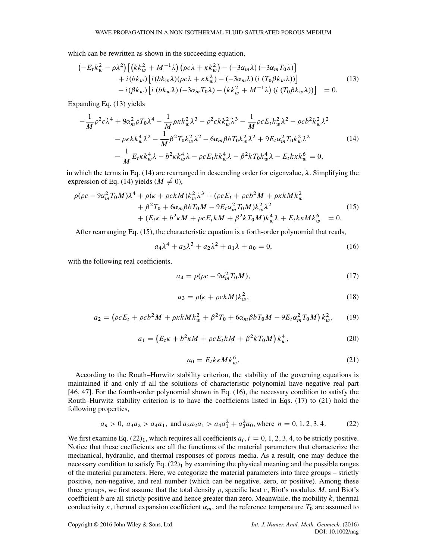which can be rewritten as shown in the succeeding equation,

$$
\begin{aligned}\n\left(-E_t k_w^2 - \rho \lambda^2\right) \left[ \left(k k_w^2 + M^{-1} \lambda\right) \left(\rho c \lambda + \kappa k_w^2\right) - \left(-3 \alpha_m \lambda\right) \left(-3 \alpha_m T_0 \lambda\right) \right] \\
&\quad + i \left(b k_w\right) \left[ i \left(b k_w \lambda\right) \left(\rho c \lambda + \kappa k_w^2\right) - \left(-3 \alpha_m \lambda\right) \left(i \left(T_0 \beta k_w \lambda\right)\right) \right] \\
&\quad - i \left(\beta k_w\right) \left[ i \left(b k_w \lambda\right) \left(-3 \alpha_m T_0 \lambda\right) - \left(k k_w^2 + M^{-1} \lambda\right) \left(i \left(T_0 \beta k_w \lambda\right)\right) \right] \\
&\quad = 0.\n\end{aligned}
$$
\n(13)

Expanding Eq. (13) yields

$$
-\frac{1}{M}\rho^{2}c\lambda^{4} + 9\alpha_{m}^{2}\rho T_{0}\lambda^{4} - \frac{1}{M}\rho\kappa k_{w}^{2}\lambda^{3} - \rho^{2}c k k_{w}^{2}\lambda^{3} - \frac{1}{M}\rho c E_{t}k_{w}^{2}\lambda^{2} - \rho c b^{2}k_{w}^{2}\lambda^{2} - \rho \kappa k k_{w}^{4}\lambda^{2} - \frac{1}{M}\beta^{2}T_{0}k_{w}^{2}\lambda^{2} - 6\alpha_{m}\beta b T_{0}k_{w}^{2}\lambda^{2} + 9E_{t}\alpha_{m}^{2}T_{0}k_{w}^{2}\lambda^{2} - \frac{1}{M}E_{t}\kappa k_{w}^{4}\lambda - \rho c E_{t}k k_{w}^{4}\lambda - \beta^{2}kT_{0}k_{w}^{4}\lambda - E_{t}k\kappa k_{w}^{6} = 0,
$$
\n(14)

in which the terms in Eq. (14) are rearranged in descending order for eigenvalue,  $\lambda$ . Simplifying the expression of Eq. (14) yields ( $M \neq 0$ ),

$$
\rho(\rho c - 9\alpha_m^2 T_0 M)\lambda^4 + \rho(\kappa + \rho c k M)k_w^2 \lambda^3 + (\rho c E_t + \rho c b^2 M + \rho \kappa k M k_w^2 + \beta^2 T_0 + 6\alpha_m \beta b T_0 M - 9E_t \alpha_m^2 T_0 M)k_w^2 \lambda^2 + (E_t \kappa + b^2 \kappa M + \rho c E_t k M + \beta^2 k T_0 M)k_w^4 \lambda + E_t k \kappa M k_w^6 = 0.
$$
\n(15)

After rearranging Eq. (15), the characteristic equation is a forth-order polynomial that reads,

$$
a_4\lambda^4 + a_3\lambda^3 + a_2\lambda^2 + a_1\lambda + a_0 = 0,
$$
 (16)

with the following real coefficients,

$$
a_4 = \rho(\rho c - 9\alpha_m^2 T_0 M),\tag{17}
$$

$$
a_3 = \rho(\kappa + \rho c k M) k_w^2,\tag{18}
$$

$$
a_2 = (\rho c E_t + \rho c b^2 M + \rho \kappa k M k_w^2 + \beta^2 T_0 + 6 \alpha_m \beta b T_0 M - 9 E_t \alpha_m^2 T_0 M) k_w^2, \qquad (19)
$$

$$
a_1 = (E_t \kappa + b^2 \kappa M + \rho c E_t k M + \beta^2 k T_0 M) k_w^4, \tag{20}
$$

$$
a_0 = E_t k \kappa M k_w^6. \tag{21}
$$

According to the Routh–Hurwitz stability criterion, the stability of the governing equations is maintained if and only if all the solutions of characteristic polynomial have negative real part [46, 47]. For the fourth-order polynomial shown in Eq. (16), the necessary condition to satisfy the Routh–Hurwitz stability criterion is to have the coefficients listed in Eqs. (17) to (21) hold the following properties,

$$
a_n > 0
$$
,  $a_3 a_2 > a_4 a_1$ , and  $a_3 a_2 a_1 > a_4 a_1^2 + a_3^2 a_0$ , where  $n = 0, 1, 2, 3, 4$ . (22)

We first examine Eq.  $(22)_1$ , which requires all coefficients  $a_i$ ,  $i = 0, 1, 2, 3, 4$ , to be strictly positive. Notice that these coefficients are all the functions of the material parameters that characterize the mechanical, hydraulic, and thermal responses of porous media. As a result, one may deduce the necessary condition to satisfy Eq.  $(22)_1$  by examining the physical meaning and the possible ranges of the material parameters. Here, we categorize the material parameters into three groups – strictly positive, non-negative, and real number (which can be negative, zero, or positive). Among these three groups, we first assume that the total density  $\rho$ , specific heat c, Biot's modulus M, and Biot's coefficient  $b$  are all strictly positive and hence greater than zero. Meanwhile, the mobility  $k$ , thermal conductivity  $\kappa$ , thermal expansion coefficient  $\alpha_m$ , and the reference temperature  $T_0$  are assumed to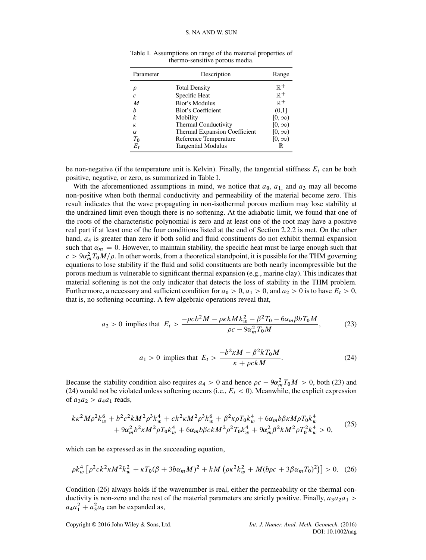| Parameter     | Description                          | Range          |
|---------------|--------------------------------------|----------------|
| ρ             | <b>Total Density</b>                 | $\mathbb{R}^+$ |
| $\mathcal{C}$ | Specific Heat                        | $\mathbb{R}^+$ |
| M             | <b>Biot's Modulus</b>                | $\mathbb{R}^+$ |
| h             | Biot's Coefficient                   | (0,1]          |
| k             | Mobility                             | $[0,\infty)$   |
| К             | <b>Thermal Conductivity</b>          | $[0,\infty)$   |
| $\alpha$      | <b>Thermal Expansion Coefficient</b> | $[0, \infty)$  |
| $T_0$         | Reference Temperature                | $[0, \infty)$  |
| $E_t$         | <b>Tangential Modulus</b>            | $\mathbb R$    |

Table I. Assumptions on range of the material properties of thermo-sensitive porous media.

be non-negative (if the temperature unit is Kelvin). Finally, the tangential stiffness  $E_t$  can be both positive, negative, or zero, as summarized in Table I.

With the aforementioned assumptions in mind, we notice that  $a_0$ ,  $a_1$  and  $a_3$  may all become non-positive when both thermal conductivity and permeability of the material become zero. This result indicates that the wave propagating in non-isothermal porous medium may lose stability at the undrained limit even though there is no softening. At the adiabatic limit, we found that one of the roots of the characteristic polynomial is zero and at least one of the root may have a positive real part if at least one of the four conditions listed at the end of Section 2.2.2 is met. On the other hand,  $a<sub>4</sub>$  is greater than zero if both solid and fluid constituents do not exhibit thermal expansion such that  $\alpha_m = 0$ . However, to maintain stability, the specific heat must be large enough such that  $c > 9\alpha_m^2 T_0 M/\rho$ . In other words, from a theoretical standpoint, it is possible for the THM governing equations to lose stability if the fluid and solid constituents are both nearly incompressible but the porous medium is vulnerable to significant thermal expansion (e.g., marine clay). This indicates that material softening is not the only indicator that detects the loss of stability in the THM problem. Furthermore, a necessary and sufficient condition for  $a_0 > 0$ ,  $a_1 > 0$ , and  $a_2 > 0$  is to have  $E_t > 0$ , that is, no softening occurring. A few algebraic operations reveal that,

$$
a_2 > 0 \text{ implies that } E_t > \frac{-\rho c b^2 M - \rho \kappa k M k_w^2 - \beta^2 T_0 - 6\alpha_m \beta b T_0 M}{\rho c - 9\alpha_m^2 T_0 M}, \tag{23}
$$

$$
a_1 > 0 \text{ implies that } E_t > \frac{-b^2 \kappa M - \beta^2 k T_0 M}{\kappa + \rho c k M}.
$$
 (24)

Because the stability condition also requires  $a_4 > 0$  and hence  $\rho c - 9\alpha_m^2 T_0 M > 0$ , both (23) and (24) would not be violated unless softening occurs (i.e.,  $E_t < 0$ ). Meanwhile, the explicit expression of  $a_3a_2 > a_4a_1$  reads,

$$
k\kappa^{2}M\rho^{2}k_{w}^{6} + b^{2}c^{2}kM^{2}\rho^{3}k_{w}^{4} + ck^{2}\kappa M^{2}\rho^{3}k_{w}^{6} + \beta^{2}\kappa\rho T_{0}k_{w}^{4} + 6\alpha_{m}b\beta\kappa M\rho T_{0}k_{w}^{4} + 9\alpha_{m}^{2}b^{2}\kappa M^{2}\rho T_{0}k_{w}^{4} + 6\alpha_{m}b\beta c kM^{2}\rho^{2}T_{0}k_{w}^{4} + 9\alpha_{m}^{2}\beta^{2}kM^{2}\rho T_{0}^{2}k_{w}^{4} > 0,
$$
\n(25)

which can be expressed as in the succeeding equation,

$$
\rho k_w^4 \left[ \rho^2 c k^2 \kappa M^2 k_w^2 + \kappa T_0 (\beta + 3b\alpha_m M)^2 + k M \left( \rho \kappa^2 k_w^2 + M (b \rho c + 3\beta \alpha_m T_0)^2 \right) \right] > 0. \tag{26}
$$

Condition (26) always holds if the wavenumber is real, either the permeability or the thermal conductivity is non-zero and the rest of the material parameters are strictly positive. Finally,  $a_3a_2a_1$  >  $a_4a_1^2 + a_3^2a_0$  can be expanded as,

Copyright © 2016 John Wiley & Sons, Ltd. *Int. J. Numer. Anal. Meth. Geomech.* (2016)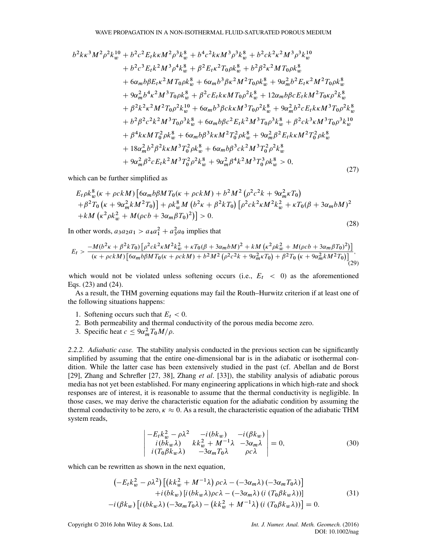$$
b^{2}k\kappa^{3}M^{2}\rho^{2}k_{w}^{10} + b^{2}c^{2}E_{t}k\kappa M^{2}\rho^{3}k_{w}^{8} + b^{4}c^{2}k\kappa M^{3}\rho^{3}k_{w}^{8} + b^{2}ck^{2}\kappa^{2}M^{3}\rho^{3}k_{w}^{10}
$$
  
+ $b^{2}c^{3}E_{t}k^{2}M^{3}\rho^{4}k_{w}^{8} + \beta^{2}E_{t}\kappa^{2}T_{0}\rho k_{w}^{8} + b^{2}\beta^{2}\kappa^{2}M T_{0}\rho k_{w}^{8}$   
+ $6\alpha_{m}b\beta E_{t}\kappa^{2}M T_{0}\rho k_{w}^{8} + 6\alpha_{m}b^{3}\beta\kappa^{2}M^{2}T_{0}\rho k_{w}^{8} + 9\alpha_{m}^{2}b^{2}E_{t}\kappa^{2}M^{2}T_{0}\rho k_{w}^{8}$   
+ $9\alpha_{m}^{2}b^{4}\kappa^{2}M^{3}T_{0}\rho k_{w}^{8} + \beta^{2}cE_{t}k\kappa M T_{0}\rho^{2}k_{w}^{8} + 12\alpha_{m}b\beta cE_{t}kM^{2}T_{0}\rho\rho^{2}k_{w}^{8}$   
+ $\beta^{2}k^{2}\kappa^{2}M^{2}T_{0}\rho^{2}k_{w}^{10} + 6\alpha_{m}b^{3}\beta c k \kappa M^{3}T_{0}\rho^{2}k_{w}^{8} + 9\alpha_{m}^{2}b^{2}cE_{t}k\kappa M^{3}T_{0}\rho^{2}k_{w}^{8}$   
+ $b^{2}\beta^{2}c^{2}k^{2}M^{3}T_{0}\rho^{3}k_{w}^{8} + 6\alpha_{m}b\beta c^{2}E_{t}k^{2}M^{3}T_{0}\rho^{3}k_{w}^{8} + \beta^{2}ck^{3}\kappa M^{3}T_{0}\rho^{3}k_{w}^{10}$   
+ $\beta^{4}k\kappa M T_{0}^{2}\rho k_{w}^{8} + 6\alpha_{m}b\beta^{3}k\kappa M^{2}T_{0}^{2}\rho k_{w}^{8} + 9\alpha_{m}^{2}\beta^{2}E_{t}k\k$ 

which can be further simplified as

$$
E_{t}\rho k_{w}^{8}(\kappa+\rho c k M)\left[6\alpha_{m}b\beta M T_{0}(\kappa+\rho c k M)+b^{2}M^{2}\left(\rho^{2}c^{2}k+9\alpha_{m}^{2}\kappa T_{0}\right) +\beta^{2}T_{0}\left(\kappa+9\alpha_{m}^{2}kM^{2}T_{0}\right)\right] +\rho k_{w}^{8}M\left(b^{2}\kappa+\beta^{2}kT_{0}\right)\left[\rho^{2}c k^{2}\kappa M^{2}k_{w}^{2}+\kappa T_{0}(\beta+3\alpha_{m}b M)^{2} +kM\left(\kappa^{2}\rho k_{w}^{2}+M(\rho c b+3\alpha_{m} \beta T_{0})^{2}\right)\right] > 0.
$$
\n(28)

In other words,  $a_3a_2a_1 > a_4a_1^2 + a_3^2a_0$  implies that

$$
E_{t} > \frac{-M(b^{2}\kappa + \beta^{2}kT_{0})\left[\rho^{2}ck^{2}\kappa M^{2}k_{w}^{2} + \kappa T_{0}(\beta + 3\alpha_{m}bM)^{2} + kM\left(\kappa^{2}\rho k_{w}^{2} + M(\rho cb + 3\alpha_{m}\beta T_{0})^{2}\right)\right]}{(\kappa + \rho ckM)\left[6\alpha_{m}b\beta M T_{0}(\kappa + \rho ckM) + b^{2}M^{2}\left(\rho^{2}c^{2}k + 9\alpha_{m}^{2}\kappa T_{0}\right) + \beta^{2}T_{0}\left(\kappa + 9\alpha_{m}^{2}kM^{2}T_{0}\right)\right]}.
$$
\n(29)

which would not be violated unless softening occurs (i.e.,  $E_t$  < 0) as the aforementioned Eqs. (23) and (24).

As a result, the THM governing equations may fail the Routh–Hurwitz criterion if at least one of the following situations happens:

- 1. Softening occurs such that  $E_t < 0$ .
- 2. Both permeability and thermal conductivity of the porous media become zero.
- 3. Specific heat  $c \leq 9\alpha_m^2 T_0 M/\rho$ .

*2.2.2. Adiabatic case.* The stability analysis conducted in the previous section can be significantly simplified by assuming that the entire one-dimensional bar is in the adiabatic or isothermal condition. While the latter case has been extensively studied in the past (cf. Abellan and de Borst [29], Zhang and Schrefler [27, 38], Zhang *et al*. [33]), the stability analysis of adiabatic porous media has not yet been established. For many engineering applications in which high-rate and shock responses are of interest, it is reasonable to assume that the thermal conductivity is negligible. In those cases, we may derive the characteristic equation for the adiabatic condition by assuming the thermal conductivity to be zero,  $\kappa \approx 0$ . As a result, the characteristic equation of the adiabatic THM system reads,

$$
\begin{vmatrix}\n-E_t k_w^2 - \rho \lambda^2 & -i(b k_w) & -i(\beta k_w) \\
i(b k_w \lambda) & k k_w^2 + M^{-1} \lambda & -3 \alpha_m \lambda \\
i(T_0 \beta k_w \lambda) & -3 \alpha_m T_0 \lambda & \rho c \lambda\n\end{vmatrix} = 0,
$$
\n(30)

which can be rewritten as shown in the next equation,

$$
\begin{aligned}\n&\left(-E_t k_w^2 - \rho \lambda^2\right) \left[ \left(k k_w^2 + M^{-1} \lambda\right) \rho c \lambda - \left(-3 \alpha_m \lambda\right) \left(-3 \alpha_m T_0 \lambda\right) \right] \\
&+ i \left(b k_w\right) \left[i \left(b k_w \lambda\right) \rho c \lambda - \left(-3 \alpha_m \lambda\right) \left(i \left(T_0 \beta k_w \lambda\right)\right)\right] \\
&- i \left(\beta k_w\right) \left[i \left(b k_w \lambda\right) \left(-3 \alpha_m T_0 \lambda\right) - \left(k k_w^2 + M^{-1} \lambda\right) \left(i \left(T_0 \beta k_w \lambda\right)\right)\right] = 0.\n\end{aligned}
$$
\n(31)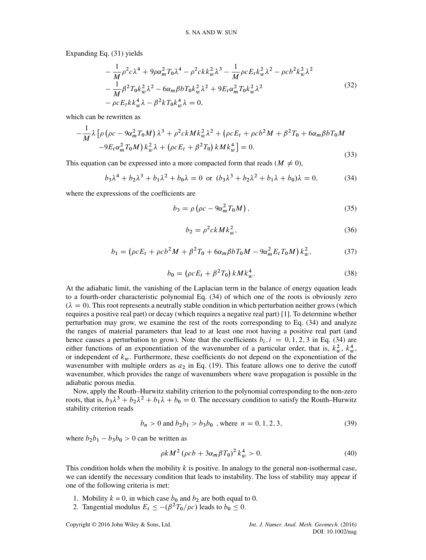Expanding Eq. (31) yields

$$
-\frac{1}{M}\rho^{2}c\lambda^{4} + 9\rho\alpha_{m}^{2}T_{0}\lambda^{4} - \rho^{2}ckk_{w}^{2}\lambda^{3} - \frac{1}{M}\rho cE_{t}k_{w}^{2}\lambda^{2} - \rho cb^{2}k_{w}^{2}\lambda^{2} -\frac{1}{M}\beta^{2}T_{0}k_{w}^{2}\lambda^{2} - 6\alpha_{m}\beta bT_{0}k_{w}^{2}\lambda^{2} + 9E_{t}\alpha_{m}^{2}T_{0}k_{w}^{2}\lambda^{2} -\rho cE_{t}kk_{w}^{4}\lambda - \beta^{2}kT_{0}k_{w}^{4}\lambda = 0,
$$
\n(32)

which can be rewritten as

$$
-\frac{1}{M}\lambda \left[ \rho \left( \rho c - 9\alpha_m^2 T_0 M \right) \lambda^3 + \rho^2 c k M k_w^2 \lambda^2 + \left( \rho c E_t + \rho c b^2 M + \beta^2 T_0 + 6 \alpha_m \beta b T_0 M \right) \right. \\ \left. -9 E_t \alpha_m^2 T_0 M \right) k_w^2 \lambda + \left( \rho c E_t + \beta^2 T_0 \right) k M k_w^4 \right] = 0. \tag{33}
$$

This equation can be expressed into a more compacted form that reads ( $M \neq 0$ ),

$$
b_3\lambda^4 + b_2\lambda^3 + b_1\lambda^2 + b_0\lambda = 0 \text{ or } (b_3\lambda^3 + b_2\lambda^2 + b_1\lambda + b_0)\lambda = 0,
$$
 (34)

where the expressions of the coefficients are

$$
b_3 = \rho \left( \rho c - 9\alpha_m^2 T_0 M \right),\tag{35}
$$

$$
b_2 = \rho^2 c k M k_w^2,\tag{36}
$$

$$
b_1 = (\rho c E_t + \rho c b^2 M + \beta^2 T_0 + 6 \alpha_m \beta b T_0 M - 9 \alpha_m^2 E_t T_0 M) k_w^2, \tag{37}
$$

$$
b_0 = (\rho c E_t + \beta^2 T_0) k M k_w^4.
$$
 (38)

At the adiabatic limit, the vanishing of the Laplacian term in the balance of energy equation leads to a fourth-order characteristic polynomial Eq. (34) of which one of the roots is obviously zero  $(\lambda = 0)$ . This root represents a neutrally stable condition in which perturbation neither grows (which requires a positive real part) or decay (which requires a negative real part) [1]. To determine whether perturbation may grow, we examine the rest of the roots corresponding to Eq. (34) and analyze the ranges of material parameters that lead to at least one root having a positive real part (and hence causes a perturbation to grow). Note that the coefficients  $b_i$ ,  $i = 0, 1, 2, 3$  in Eq. (34) are either functions of an exponentiation of the wavenumber of a particular order, that is,  $k_w^2$ ,  $k_w^4$ , or independent of  $k_w$ . Furthermore, these coefficients do not depend on the exponentiation of the wavenumber with multiple orders as  $a_2$  in Eq. (19). This feature allows one to derive the cutoff wavenumber, which provides the range of wavenumbers where wave propagation is possible in the adiabatic porous media.

Now, apply the Routh–Hurwitz stability criterion to the polynomial corresponding to the non-zero roots, that is,  $b_3\lambda^3 + b_2\lambda^2 + b_1\lambda + b_0 = 0$ . The necessary condition to satisfy the Routh–Hurwitz stability criterion reads

$$
b_n > 0 \text{ and } b_2 b_1 > b_3 b_0 \text{ , where } n = 0, 1, 2, 3,
$$
 (39)

where  $b_2b_1 - b_3b_0 > 0$  can be written as

$$
\rho k M^2 \left( \rho c b + 3 \alpha_m \beta T_0 \right)^2 k_w^4 > 0. \tag{40}
$$

This condition holds when the mobility  $k$  is positive. In analogy to the general non-isothermal case, we can identify the necessary condition that leads to instability. The loss of stability may appear if one of the following criteria is met:

- 1. Mobility  $k = 0$ , in which case  $b_0$  and  $b_2$  are both equal to 0.
- 2. Tangential modulus  $E_t \le -(\beta^2 T_0/\rho c)$  leads to  $b_0 \le 0$ .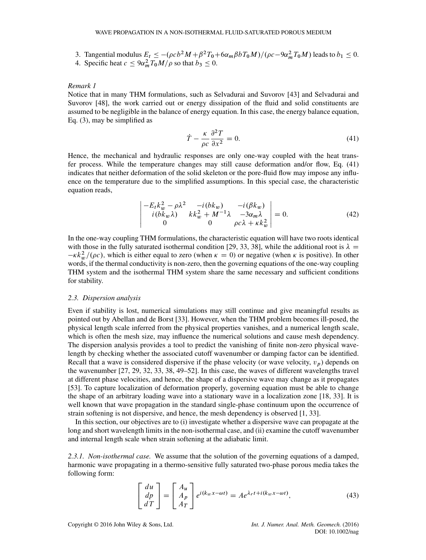3. Tangential modulus  $E_t \leq -(\rho c b^2 M + \beta^2 T_0 + 6\alpha_m \beta b T_0 M)/(\rho c - 9\alpha_m^2 T_0 M)$  leads to  $b_1 \leq 0$ . 4. Specific heat  $c \le 9\alpha_m^2 T_0 M/\rho$  so that  $b_3 \le 0$ .

## *Remark 1*

Notice that in many THM formulations, such as Selvadurai and Suvorov [43] and Selvadurai and Suvorov [48], the work carried out or energy dissipation of the fluid and solid constituents are assumed to be negligible in the balance of energy equation. In this case, the energy balance equation, Eq. (3), may be simplified as

$$
\dot{T} - \frac{\kappa}{\rho c} \frac{\partial^2 T}{\partial x^2} = 0.
$$
\n(41)

Hence, the mechanical and hydraulic responses are only one-way coupled with the heat transfer process. While the temperature changes may still cause deformation and/or flow, Eq. (41) indicates that neither deformation of the solid skeleton or the pore-fluid flow may impose any influence on the temperature due to the simplified assumptions. In this special case, the characteristic equation reads,

$$
\begin{vmatrix} -E_t k_w^2 - \rho \lambda^2 & -i(bk_w) & -i(\beta k_w) \\ i(bk_w \lambda) & k k_w^2 + M^{-1} \lambda & -3\alpha_m \lambda \\ 0 & 0 & \rho c \lambda + k k_w^2 \end{vmatrix} = 0.
$$
 (42)

In the one-way coupling THM formulations, the characteristic equation will have two roots identical with those in the fully saturated isothermal condition [29, 33, 38], while the additional root is  $\lambda =$  $-\kappa k_w^2/(\rho c)$ , which is either equal to zero (when  $\kappa = 0$ ) or negative (when  $\kappa$  is positive). In other words, if the thermal conductivity is non-zero, then the governing equations of the one-way coupling THM system and the isothermal THM system share the same necessary and sufficient conditions for stability.

#### *2.3. Dispersion analysis*

Even if stability is lost, numerical simulations may still continue and give meaningful results as pointed out by Abellan and de Borst [33]. However, when the THM problem becomes ill-posed, the physical length scale inferred from the physical properties vanishes, and a numerical length scale, which is often the mesh size, may influence the numerical solutions and cause mesh dependency. The dispersion analysis provides a tool to predict the vanishing of finite non-zero physical wavelength by checking whether the associated cutoff wavenumber or damping factor can be identified. Recall that a wave is considered dispersive if the phase velocity (or wave velocity,  $v_p$ ) depends on the wavenumber [27, 29, 32, 33, 38, 49–52]. In this case, the waves of different wavelengths travel at different phase velocities, and hence, the shape of a dispersive wave may change as it propagates [53]. To capture localization of deformation properly, governing equation must be able to change the shape of an arbitrary loading wave into a stationary wave in a localization zone [18, 33]. It is well known that wave propagation in the standard single-phase continuum upon the occurrence of strain softening is not dispersive, and hence, the mesh dependency is observed [1, 33].

In this section, our objectives are to (i) investigate whether a dispersive wave can propagate at the long and short wavelength limits in the non-isothermal case, and (ii) examine the cutoff wavenumber and internal length scale when strain softening at the adiabatic limit.

*2.3.1. Non-isothermal case.* We assume that the solution of the governing equations of a damped, harmonic wave propagating in a thermo-sensitive fully saturated two-phase porous media takes the following form:

$$
\begin{bmatrix} du \\ dp \\ dT \end{bmatrix} = \begin{bmatrix} A_u \\ A_p \\ A_T \end{bmatrix} e^{i(k_w x - \omega t)} = A e^{\lambda_r t + i(k_w x - \omega t)}, \tag{43}
$$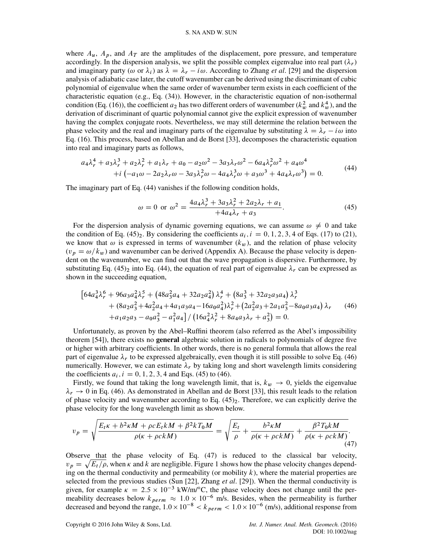#### S. NA AND W. SUN

where  $A_u$ ,  $A_p$ , and  $A_T$  are the amplitudes of the displacement, pore pressure, and temperature accordingly. In the dispersion analysis, we split the possible complex eigenvalue into real part  $(\lambda_r)$ and imaginary party ( $\omega$  or  $\lambda_i$ ) as  $\lambda = \lambda_r - i \omega$ . According to Zhang *et al.* [29] and the dispersion analysis of adiabatic case later, the cutoff wavenumber can be derived using the discriminant of cubic polynomial of eigenvalue when the same order of wavenumber term exists in each coefficient of the characteristic equation (e.g., Eq. (34)). However, in the characteristic equation of non-isothermal condition (Eq. (16)), the coefficient  $a_2$  has two different orders of wavenumber ( $k_w^2$  and  $k_w^4$ ), and the derivation of discriminant of quartic polynomial cannot give the explicit expression of wavenumber having the complex conjugate roots. Nevertheless, we may still determine the relation between the phase velocity and the real and imaginary parts of the eigenvalue by substituting  $\lambda = \lambda_r - i\omega$  into Eq. (16). This process, based on Abellan and de Borst [33], decomposes the characteristic equation into real and imaginary parts as follows,

$$
a_4\lambda_r^4 + a_3\lambda_r^3 + a_2\lambda_r^2 + a_1\lambda_r + a_0 - a_2\omega^2 - 3a_3\lambda_r\omega^2 - 6a_4\lambda_r^2\omega^2 + a_4\omega^4 + i(-a_1\omega - 2a_2\lambda_r\omega - 3a_3\lambda_r^2\omega - 4a_4\lambda_r^3\omega + a_3\omega^3 + 4a_4\lambda_r\omega^3) = 0.
$$
 (44)

The imaginary part of Eq. (44) vanishes if the following condition holds,

$$
\omega = 0 \text{ or } \omega^2 = \frac{4a_4\lambda_r^3 + 3a_3\lambda_r^2 + 2a_2\lambda_r + a_1}{+4a_4\lambda_r + a_3}.
$$
 (45)

For the dispersion analysis of dynamic governing equations, we can assume  $\omega \neq 0$  and take the condition of Eq. (45)<sub>2</sub>. By considering the coefficients  $a_i$ ,  $i = 0, 1, 2, 3, 4$  of Eqs. (17) to (21), we know that  $\omega$  is expressed in terms of wavenumber ( $k_w$ ), and the relation of phase velocity  $(v_p = \omega / k_w)$  and wavenumber can be derived (Appendix A). Because the phase velocity is dependent on the wavenumber, we can find out that the wave propagation is dispersive. Furthermore, by substituting Eq. (45)<sub>2</sub> into Eq. (44), the equation of real part of eigenvalue  $\lambda_r$  can be expressed as shown in the succeeding equation,

$$
\begin{aligned}\n\left[64a_4^3\lambda_r^6 + 96a_3a_4^2\lambda_r^5 + \left(48a_3^2a_4 + 32a_2a_4^2\right)\lambda_r^4 + \left(8a_3^3 + 32a_2a_3a_4\right)\lambda_r^3 \right. \\
&\quad + \left(8a_2a_3^2 + 4a_2^2a_4 + 4a_1a_3a_4 - 16a_0a_4^2\right)\lambda_r^2 + \left(2a_2^2a_3 + 2a_1a_3^2 - 8a_0a_3a_4\right)\lambda_r \qquad (46) \\
&\quad + a_1a_2a_3 - a_0a_3^2 - a_1^2a_4\right] / \left(16a_4^2\lambda_r^2 + 8a_4a_3\lambda_r + a_3^2\right) = 0.\n\end{aligned}
$$

Unfortunately, as proven by the Abel–Ruffini theorem (also referred as the Abel's impossibility theorem [54]), there exists no **general** algebraic solution in radicals to polynomials of degree five or higher with arbitrary coefficients. In other words, there is no general formula that allows the real part of eigenvalue  $\lambda_r$  to be expressed algebraically, even though it is still possible to solve Eq. (46) numerically. However, we can estimate  $\lambda_r$  by taking long and short wavelength limits considering the coefficients  $a_i$ ,  $i = 0, 1, 2, 3, 4$  and Eqs. (45) to (46).

Firstly, we found that taking the long wavelength limit, that is,  $k_w \rightarrow 0$ , yields the eigenvalue  $\lambda_r \rightarrow 0$  in Eq. (46). As demonstrated in Abellan and de Borst [33], this result leads to the relation of phase velocity and wavenumber according to Eq.  $(45)_2$ . Therefore, we can explicitly derive the phase velocity for the long wavelength limit as shown below.

$$
v_p = \sqrt{\frac{E_t \kappa + b^2 \kappa M + \rho c E_t k M + \beta^2 k T_0 M}{\rho(\kappa + \rho c k M)}} = \sqrt{\frac{E_t}{\rho} + \frac{b^2 \kappa M}{\rho(\kappa + \rho c k M)} + \frac{\beta^2 T_0 k M}{\rho(\kappa + \rho c k M)}}.
$$
\n(47)

Observe that the phase velocity of Eq. (47) is reduced to the classical bar velocity,  $v_p = \sqrt{E_t/\rho}$ , when  $\kappa$  and k are negligible. Figure 1 shows how the phase velocity changes depending on the thermal conductivity and permeability (or mobility  $k$ ), where the material properties are selected from the previous studies (Sun [22], Zhang *et al*. [29]). When the thermal conductivity is given, for example  $\kappa = 2.5 \times 10^{-3}$  kW/m/°C, the phase velocity does not change until the permeability decreases below  $k_{perm} \approx 1.0 \times 10^{-6}$  m/s. Besides, when the permeability is further decreased and beyond the range,  $1.0 \times 10^{-8} < k_{perm} < 1.0 \times 10^{-6}$  (m/s), additional response from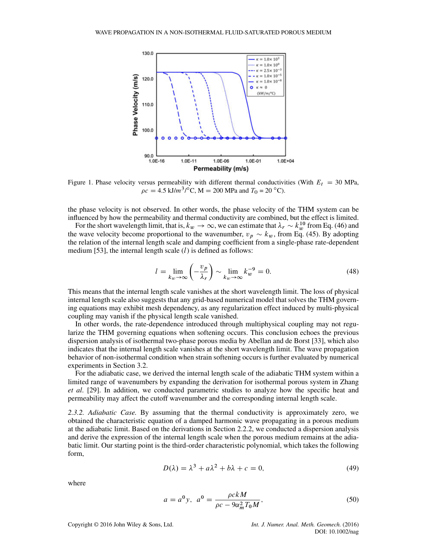

Figure 1. Phase velocity versus permeability with different thermal conductivities (With  $E_t = 30$  MPa,  $\rho c = 4.5 \text{ kJ/m}^3/\text{°C}$ , M = 200 MPa and  $T_0 = 20 \text{ °C}$ ).

the phase velocity is not observed. In other words, the phase velocity of the THM system can be influenced by how the permeability and thermal conductivity are combined, but the effect is limited.

For the short wavelength limit, that is,  $k_w \to \infty$ , we can estimate that  $\lambda_r \sim k_w^{10}$  from Eq. (46) and the wave velocity become proportional to the wavenumber,  $v_p \sim k_w$ , from Eq. (45). By adopting the relation of the internal length scale and damping coefficient from a single-phase rate-dependent medium [53], the internal length scale  $(l)$  is defined as follows:

$$
l = \lim_{k_w \to \infty} \left( -\frac{v_p}{\lambda_r} \right) \sim \lim_{k_w \to \infty} k_w^{-9} = 0.
$$
 (48)

This means that the internal length scale vanishes at the short wavelength limit. The loss of physical internal length scale also suggests that any grid-based numerical model that solves the THM governing equations may exhibit mesh dependency, as any regularization effect induced by multi-physical coupling may vanish if the physical length scale vanished.

In other words, the rate-dependence introduced through multiphysical coupling may not regularize the THM governing equations when softening occurs. This conclusion echoes the previous dispersion analysis of isothermal two-phase porous media by Abellan and de Borst [33], which also indicates that the internal length scale vanishes at the short wavelength limit. The wave propagation behavior of non-isothermal condition when strain softening occurs is further evaluated by numerical experiments in Section 3.2.

For the adiabatic case, we derived the internal length scale of the adiabatic THM system within a limited range of wavenumbers by expanding the derivation for isothermal porous system in Zhang *et al*. [29]. In addition, we conducted parametric studies to analyze how the specific heat and permeability may affect the cutoff wavenumber and the corresponding internal length scale.

*2.3.2. Adiabatic Case.* By assuming that the thermal conductivity is approximately zero, we obtained the characteristic equation of a damped harmonic wave propagating in a porous medium at the adiabatic limit. Based on the derivations in Section 2.2.2, we conducted a dispersion analysis and derive the expression of the internal length scale when the porous medium remains at the adiabatic limit. Our starting point is the third-order characteristic polynomial, which takes the following form,

$$
D(\lambda) = \lambda^3 + a\lambda^2 + b\lambda + c = 0,
$$
\n(49)

where

$$
a = a0y, \quad a0 = \frac{\rho c k M}{\rho c - 9\alpha_m^2 T_0 M},\tag{50}
$$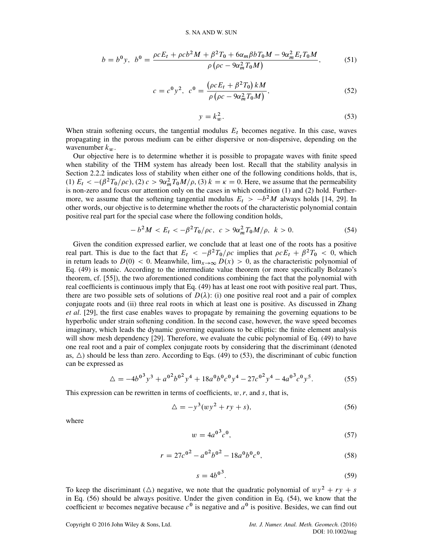$$
b = b^{0}y, \ b^{0} = \frac{\rho c E_{t} + \rho c b^{2} M + \beta^{2} T_{0} + 6 \alpha_{m} \beta b T_{0} M - 9 \alpha_{m}^{2} E_{t} T_{0} M}{\rho \left( \rho c - 9 \alpha_{m}^{2} T_{0} M \right)}, \tag{51}
$$

$$
c = c0 y2, \ c0 = \frac{(\rho c E_t + \beta2 T_0) kM}{\rho (\rho c - 9\alpha_m2 T_0 M)}, \tag{52}
$$

$$
y = k_w^2. \tag{53}
$$

When strain softening occurs, the tangential modulus  $E_t$  becomes negative. In this case, waves propagating in the porous medium can be either dispersive or non-dispersive, depending on the wavenumber  $k_w$ .

Our objective here is to determine whether it is possible to propagate waves with finite speed when stability of the THM system has already been lost. Recall that the stability analysis in Section 2.2.2 indicates loss of stability when either one of the following conditions holds, that is, (1)  $E_t < -(\beta^2 T_0/\rho c)$ , (2)  $c > 9\alpha_m^2 T_0 M/\rho$ , (3)  $k = \kappa = 0$ . Here, we assume that the permeability is non-zero and focus our attention only on the cases in which condition (1) and (2) hold. Furthermore, we assume that the softening tangential modulus  $E_t > -b^2M$  always holds [14, 29]. In other words, our objective is to determine whether the roots of the characteristic polynomial contain positive real part for the special case where the following condition holds,

$$
-b2M < Et < -\beta2T0/\rho c, \ c > 9\alpham2T0M/\rho, \ k > 0.
$$
 (54)

Given the condition expressed earlier, we conclude that at least one of the roots has a positive real part. This is due to the fact that  $E_t < -\beta^2 T_0/\rho c$  implies that  $\rho cE_t + \beta^2 T_0 < 0$ , which in return leads to  $D(0) < 0$ . Meanwhile,  $\lim_{x\to\infty} D(x) > 0$ , as the characteristic polynomial of Eq. (49) is monic. According to the intermediate value theorem (or more specifically Bolzano's theorem, cf. [55]), the two aforementioned conditions combining the fact that the polynomial with real coefficients is continuous imply that Eq. (49) has at least one root with positive real part. Thus, there are two possible sets of solutions of  $D(\lambda)$ : (i) one positive real root and a pair of complex conjugate roots and (ii) three real roots in which at least one is positive. As discussed in Zhang *et al*. [29], the first case enables waves to propagate by remaining the governing equations to be hyperbolic under strain softening condition. In the second case, however, the wave speed becomes imaginary, which leads the dynamic governing equations to be elliptic: the finite element analysis will show mesh dependency [29]. Therefore, we evaluate the cubic polynomial of Eq. (49) to have one real root and a pair of complex conjugate roots by considering that the discriminant (denoted as,  $\Delta$ ) should be less than zero. According to Eqs. (49) to (53), the discriminant of cubic function can be expressed as

$$
\Delta = -4b^{0^3}y^3 + a^{0^2}b^{0^2}y^4 + 18a^0b^0c^0y^4 - 27c^{0^2}y^4 - 4a^{0^3}c^0y^5. \tag{55}
$$

This expression can be rewritten in terms of coefficients,  $w, r$ , and  $s$ , that is,

$$
\Delta = -y^3 (wy^2 + ry + s),\tag{56}
$$

where

$$
w = 4a^{0^3}c^0,
$$
\n(57)

$$
r = 27c^{0^2} - a^{0^2}b^{0^2} - 18a^0b^0c^0,
$$
\n(58)

$$
s = 4b^{0^3}.\tag{59}
$$

To keep the discriminant ( $\triangle$ ) negative, we note that the quadratic polynomial of  $wy^2 + ry + s$ in Eq. (56) should be always positive. Under the given condition in Eq. (54), we know that the coefficient w becomes negative because  $c^0$  is negative and  $a^0$  is positive. Besides, we can find out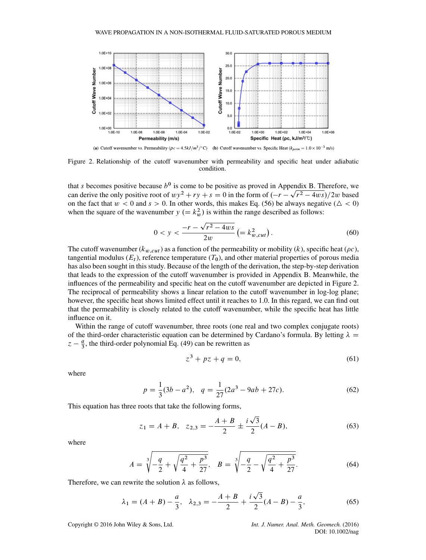

Figure 2. Relationship of the cutoff wavenumber with permeability and specific heat under adiabatic condition.

that s becomes positive because  $b^0$  is come to be positive as proved in Appendix B. Therefore, we can derive the only positive root of  $wy^2 + ry + s = 0$  in the form of  $(-r - \sqrt{r^2 - 4ws})/2w$  based on the fact that  $w < 0$  and  $s > 0$ . In other words, this makes Eq. (56) be always negative ( $\Delta < 0$ ) when the square of the wavenumber  $y (= k_w^2)$  is within the range described as follows:

$$
0 < y < \frac{-r - \sqrt{r^2 - 4ws}}{2w} \left( = k_{w, cut}^2 \right). \tag{60}
$$

The cutoff wavenumber  $(k_{w, cut})$  as a function of the permeability or mobility  $(k)$ , specific heat ( $\rho c$ ), tangential modulus  $(E_t)$ , reference temperature  $(T_0)$ , and other material properties of porous media has also been sought in this study. Because of the length of the derivation, the step-by-step derivation that leads to the expression of the cutoff wavenumber is provided in Appendix B. Meanwhile, the influences of the permeability and specific heat on the cutoff wavenumber are depicted in Figure 2. The reciprocal of permeability shows a linear relation to the cutoff wavenumber in log-log plane; however, the specific heat shows limited effect until it reaches to 1.0. In this regard, we can find out that the permeability is closely related to the cutoff wavenumber, while the specific heat has little influence on it.

Within the range of cutoff wavenumber, three roots (one real and two complex conjugate roots) of the third-order characteristic equation can be determined by Cardano's formula. By letting  $\lambda =$  $z - \frac{a}{3}$ , the third-order polynomial Eq. (49) can be rewritten as

$$
z^3 + pz + q = 0,\t\t(61)
$$

where

$$
p = \frac{1}{3}(3b - a^2), \quad q = \frac{1}{27}(2a^3 - 9ab + 27c).
$$
 (62)

This equation has three roots that take the following forms,

$$
z_1 = A + B, \quad z_{2,3} = -\frac{A + B}{2} \pm \frac{i\sqrt{3}}{2} (A - B), \tag{63}
$$

where

$$
A = \sqrt[3]{-\frac{q}{2} + \sqrt{\frac{q^2}{4} + \frac{p^3}{27}}}, \quad B = \sqrt[3]{-\frac{q}{2} - \sqrt{\frac{q^2}{4} + \frac{p^3}{27}}}.
$$
 (64)

Therefore, we can rewrite the solution  $\lambda$  as follows,

$$
\lambda_1 = (A + B) - \frac{a}{3}, \quad \lambda_{2,3} = -\frac{A + B}{2} + \frac{i\sqrt{3}}{2}(A - B) - \frac{a}{3},\tag{65}
$$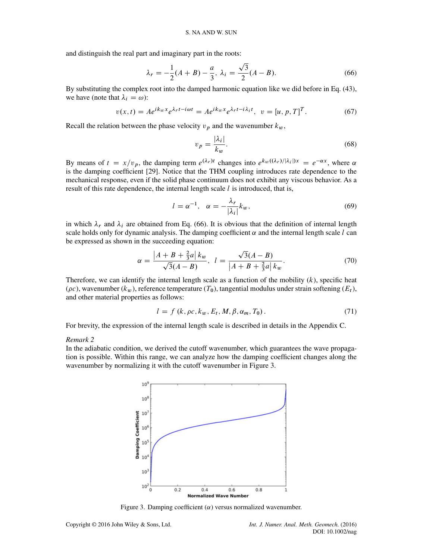and distinguish the real part and imaginary part in the roots:

$$
\lambda_r = -\frac{1}{2}(A+B) - \frac{a}{3}, \ \lambda_i = \frac{\sqrt{3}}{2}(A-B). \tag{66}
$$

By substituting the complex root into the damped harmonic equation like we did before in Eq. (43), we have (note that  $\lambda_i = \omega$ ):

$$
v(x,t) = Ae^{ik_wx}e^{\lambda_r t - i\omega t} = Ae^{ik_wx}e^{\lambda_r t - i\lambda_i t}, \ \ v = [u, p, T]^T.
$$
 (67)

Recall the relation between the phase velocity  $v_p$  and the wavenumber  $k_w$ ,

$$
v_p = \frac{|\lambda_i|}{k_w}.\tag{68}
$$

By means of  $t = x/v_p$ , the damping term  $e^{(\lambda_r)t}$  changes into  $e^{k_w((\lambda_r)/|\lambda_i|)x} = e^{-\alpha x}$ , where  $\alpha$ is the damping coefficient [29]. Notice that the THM coupling introduces rate dependence to the mechanical response, even if the solid phase continuum does not exhibit any viscous behavior. As a result of this rate dependence, the internal length scale  $l$  is introduced, that is,

$$
l = \alpha^{-1}, \quad \alpha = -\frac{\lambda_r}{|\lambda_i|} k_w,
$$
\n(69)

in which  $\lambda_r$  and  $\lambda_i$  are obtained from Eq. (66). It is obvious that the definition of internal length scale holds only for dynamic analysis. The damping coefficient  $\alpha$  and the internal length scale l can be expressed as shown in the succeeding equation:

$$
\alpha = \frac{|A + B + \frac{2}{3}a|k_w}{\sqrt{3}(A - B)}, \quad l = \frac{\sqrt{3}(A - B)}{|A + B + \frac{2}{3}a|k_w}.
$$
\n(70)

Therefore, we can identify the internal length scale as a function of the mobility  $(k)$ , specific heat ( $\rho c$ ), wavenumber ( $k_w$ ), reference temperature ( $T_0$ ), tangential modulus under strain softening ( $E_t$ ), and other material properties as follows:

$$
l = f(k, \rho c, k_w, E_t, M, \beta, \alpha_m, T_0).
$$
\n
$$
(71)
$$

For brevity, the expression of the internal length scale is described in details in the Appendix C.

#### *Remark 2*

In the adiabatic condition, we derived the cutoff wavenumber, which guarantees the wave propagation is possible. Within this range, we can analyze how the damping coefficient changes along the wavenumber by normalizing it with the cutoff wavenumber in Figure 3.



Figure 3. Damping coefficient  $(\alpha)$  versus normalized wavenumber.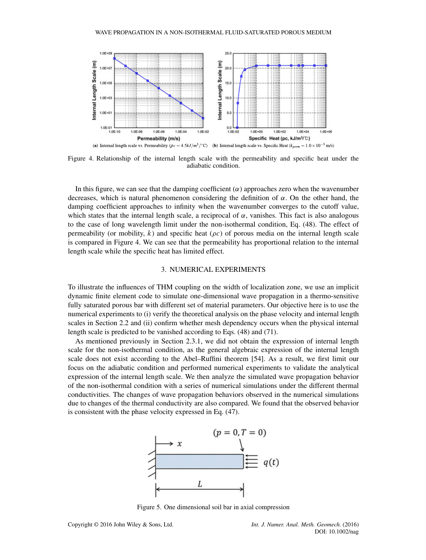

Figure 4. Relationship of the internal length scale with the permeability and specific heat under the adiabatic condition.

In this figure, we can see that the damping coefficient  $(\alpha)$  approaches zero when the wavenumber decreases, which is natural phenomenon considering the definition of  $\alpha$ . On the other hand, the damping coefficient approaches to infinity when the wavenumber converges to the cutoff value, which states that the internal length scale, a reciprocal of  $\alpha$ , vanishes. This fact is also analogous to the case of long wavelength limit under the non-isothermal condition, Eq. (48). The effect of permeability (or mobility, k) and specific heat ( $\rho c$ ) of porous media on the internal length scale is compared in Figure 4. We can see that the permeability has proportional relation to the internal length scale while the specific heat has limited effect.

# 3. NUMERICAL EXPERIMENTS

To illustrate the influences of THM coupling on the width of localization zone, we use an implicit dynamic finite element code to simulate one-dimensional wave propagation in a thermo-sensitive fully saturated porous bar with different set of material parameters. Our objective here is to use the numerical experiments to (i) verify the theoretical analysis on the phase velocity and internal length scales in Section 2.2 and (ii) confirm whether mesh dependency occurs when the physical internal length scale is predicted to be vanished according to Eqs. (48) and (71).

As mentioned previously in Section 2.3.1, we did not obtain the expression of internal length scale for the non-isothermal condition, as the general algebraic expression of the internal length scale does not exist according to the Abel–Ruffini theorem [54]. As a result, we first limit our focus on the adiabatic condition and performed numerical experiments to validate the analytical expression of the internal length scale. We then analyze the simulated wave propagation behavior of the non-isothermal condition with a series of numerical simulations under the different thermal conductivities. The changes of wave propagation behaviors observed in the numerical simulations due to changes of the thermal conductivity are also compared. We found that the observed behavior is consistent with the phase velocity expressed in Eq. (47).



Figure 5. One dimensional soil bar in axial compression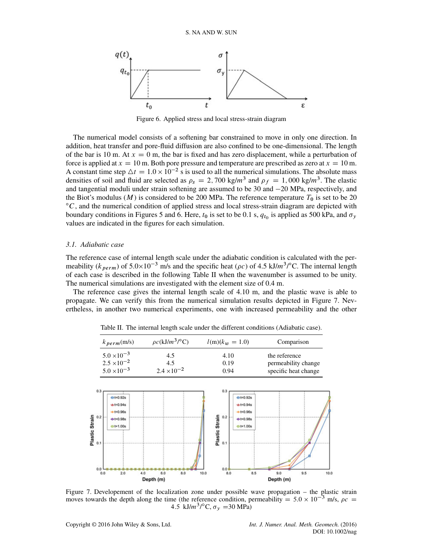

Figure 6. Applied stress and local stress-strain diagram

The numerical model consists of a softening bar constrained to move in only one direction. In addition, heat transfer and pore-fluid diffusion are also confined to be one-dimensional. The length of the bar is 10 m. At  $x = 0$  m, the bar is fixed and has zero displacement, while a perturbation of force is applied at  $x = 10$  m. Both pore pressure and temperature are prescribed as zero at  $x = 10$  m. A constant time step  $\Delta t = 1.0 \times 10^{-2}$  s is used to all the numerical simulations. The absolute mass densities of soil and fluid are selected as  $\rho_s = 2{,}700 \text{ kg/m}^3$  and  $\rho_f = 1{,}000 \text{ kg/m}^3$ . The elastic and tangential moduli under strain softening are assumed to be  $30$  and  $-20$  MPa, respectively, and the Biot's modulus (*M*) is considered to be 200 MPa. The reference temperature  $T_0$  is set to be 20 °C, and the numerical condition of applied stress and local stress-strain diagram are depicted with boundary conditions in Figures 5 and 6. Here,  $t_0$  is set to be 0.1 s,  $q_{t_0}$  is applied as 500 kPa, and  $\sigma_y$ values are indicated in the figures for each simulation.

### *3.1. Adiabatic case*

The reference case of internal length scale under the adiabatic condition is calculated with the permeability ( $k_{perm}$ ) of 5.0×10<sup>-3</sup> m/s and the specific heat ( $\rho c$ ) of 4.5 kJ/m<sup>3</sup>/°C. The internal length of each case is described in the following Table II when the wavenumber is assumed to be unity. The numerical simulations are investigated with the element size of 0.4 m.

The reference case gives the internal length scale of 4.10 m, and the plastic wave is able to propagate. We can verify this from the numerical simulation results depicted in Figure 7. Nevertheless, in another two numerical experiments, one with increased permeability and the other

| $k_{\textit{perm}}(\text{m/s})$ | $\rho c(kJ/m^3$ /°C) | $l(m)(k_w = 1.0)$ | Comparison           |
|---------------------------------|----------------------|-------------------|----------------------|
| $5.0 \times 10^{-3}$            | 4.5                  | 4.10              | the reference        |
| $2.5 \times 10^{-2}$            | 4.5                  | 0.19              | permeability change  |
| $5.0 \times 10^{-3}$            | $2.4 \times 10^{-2}$ | 0.94              | specific heat change |

Table II. The internal length scale under the different conditions (Adiabatic case).



Figure 7. Developement of the localization zone under possible wave propagation – the plastic strain moves towards the depth along the time (the reference condition, permeability =  $5.0 \times 10^{-3}$  m/s,  $\rho c$  = 4.5 kJ/m<sup>3</sup>/°C,  $\sigma_y$  =30 MPa)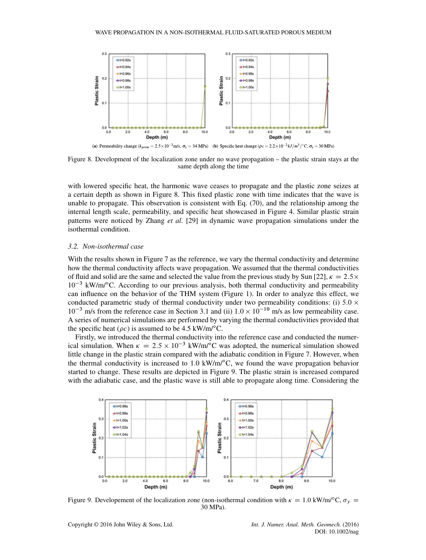

Figure 8. Development of the localization zone under no wave propagation – the plastic strain stays at the same depth along the time

with lowered specific heat, the harmonic wave ceases to propagate and the plastic zone seizes at a certain depth as shown in Figure 8. This fixed plastic zone with time indicates that the wave is unable to propagate. This observation is consistent with Eq. (70), and the relationship among the internal length scale, permeability, and specific heat showcased in Figure 4. Similar plastic strain patterns were noticed by Zhang *et al*. [29] in dynamic wave propagation simulations under the isothermal condition.

### *3.2. Non-isothermal case*

With the results shown in Figure 7 as the reference, we vary the thermal conductivity and determine how the thermal conductivity affects wave propagation. We assumed that the thermal conductivities of fluid and solid are the same and selected the value from the previous study by Sun [22],  $\kappa = 2.5 \times$  $10^{-3}$  kW/m/ $\rm ^oC$ . According to our previous analysis, both thermal conductivity and permeability can influence on the behavior of the THM system (Figure 1). In order to analyze this effect, we conducted parametric study of thermal conductivity under two permeability conditions: (i) 5.0  $\times$  $10^{-3}$  m/s from the reference case in Section 3.1 and (ii)  $1.0 \times 10^{-10}$  m/s as low permeability case. A series of numerical simulations are performed by varying the thermal conductivities provided that the specific heat ( $\rho c$ ) is assumed to be 4.5 kW/m/°C.

Firstly, we introduced the thermal conductivity into the reference case and conducted the numerical simulation. When  $\kappa = 2.5 \times 10^{-3}$  kW/m/<sup>o</sup>C was adopted, the numerical simulation showed little change in the plastic strain compared with the adiabatic condition in Figure 7. However, when the thermal conductivity is increased to  $1.0 \text{ kW/m}^{\circ}\text{C}$ , we found the wave propagation behavior started to change. These results are depicted in Figure 9. The plastic strain is increased compared with the adiabatic case, and the plastic wave is still able to propagate along time. Considering the



Figure 9. Developement of the localization zone (non-isothermal condition with  $\kappa = 1.0 \text{ kW/m}^{\circ}\text{C}$ ,  $\sigma_{v} =$ 30 MPa).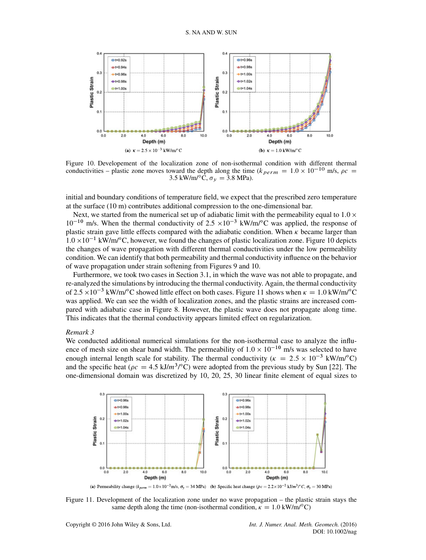

Figure 10. Developement of the localization zone of non-isothermal condition with different thermal conductivities – plastic zone moves toward the depth along the time ( $k_{perm} = 1.0 \times 10^{-10}$  m/s,  $\rho c =$ 3.5 kW/m/ $\textdegree$ C,  $\sigma_v = 3.8$  MPa).

initial and boundary conditions of temperature field, we expect that the prescribed zero temperature at the surface (10 m) contributes additional compression to the one-dimensional bar.

Next, we started from the numerical set up of adiabatic limit with the permeability equal to  $1.0 \times$  $10^{-10}$  m/s. When the thermal conductivity of 2.5  $\times 10^{-3}$  kW/m/°C was applied, the response of plastic strain gave little effects compared with the adiabatic condition. When  $\kappa$  became larger than  $1.0 \times 10^{-1}$  kW/m/°C, however, we found the changes of plastic localization zone. Figure 10 depicts the changes of wave propagation with different thermal conductivities under the low permeability condition. We can identify that both permeability and thermal conductivity influence on the behavior of wave propagation under strain softening from Figures 9 and 10.

Furthermore, we took two cases in Section 3.1, in which the wave was not able to propagate, and re-analyzed the simulations by introducing the thermal conductivity. Again, the thermal conductivity of 2.5  $\times$ 10<sup>-3</sup> kW/m/°C showed little effect on both cases. Figure 11 shows when  $\kappa = 1.0$  kW/m/°C was applied. We can see the width of localization zones, and the plastic strains are increased compared with adiabatic case in Figure 8. However, the plastic wave does not propagate along time. This indicates that the thermal conductivity appears limited effect on regularization.

#### *Remark 3*

We conducted additional numerical simulations for the non-isothermal case to analyze the influence of mesh size on shear band width. The permeability of  $1.0 \times 10^{-10}$  m/s was selected to have enough internal length scale for stability. The thermal conductivity ( $\kappa = 2.5 \times 10^{-3}$  kW/m/°C) and the specific heat ( $\rho c = 4.5 \text{ kJ/m}^3/\text{°C}$ ) were adopted from the previous study by Sun [22]. The one-dimensional domain was discretized by 10, 20, 25, 30 linear finite element of equal sizes to



Figure 11. Development of the localization zone under no wave propagation – the plastic strain stays the same depth along the time (non-isothermal condition,  $\kappa = 1.0 \text{ kW/m}^{\circ}C$ )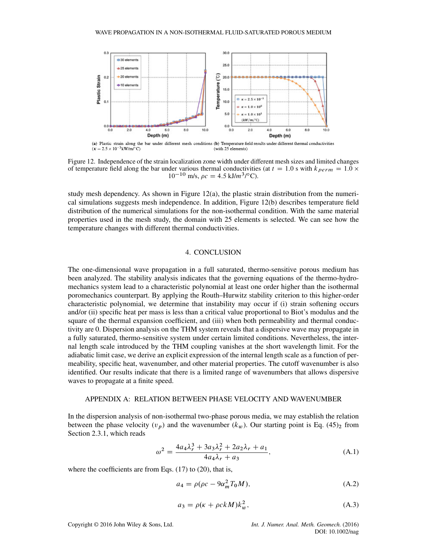

Figure 12. Independence of the strain localization zone width under different mesh sizes and limited changes of temperature field along the bar under various thermal conductivities (at  $t = 1.0$  s with  $k_{perm} = 1.0 \times$  $10^{-10}$  m/s,  $\rho c = 4.5$  kJ/m<sup>3</sup>/<sup>o</sup>C).

study mesh dependency. As shown in Figure 12(a), the plastic strain distribution from the numerical simulations suggests mesh independence. In addition, Figure 12(b) describes temperature field distribution of the numerical simulations for the non-isothermal condition. With the same material properties used in the mesh study, the domain with 25 elements is selected. We can see how the temperature changes with different thermal conductivities.

## 4. CONCLUSION

The one-dimensional wave propagation in a full saturated, thermo-sensitive porous medium has been analyzed. The stability analysis indicates that the governing equations of the thermo-hydromechanics system lead to a characteristic polynomial at least one order higher than the isothermal poromechanics counterpart. By applying the Routh–Hurwitz stability criterion to this higher-order characteristic polynomial, we determine that instability may occur if (i) strain softening occurs and/or (ii) specific heat per mass is less than a critical value proportional to Biot's modulus and the square of the thermal expansion coefficient, and (iii) when both permeability and thermal conductivity are 0. Dispersion analysis on the THM system reveals that a dispersive wave may propagate in a fully saturated, thermo-sensitive system under certain limited conditions. Nevertheless, the internal length scale introduced by the THM coupling vanishes at the short wavelength limit. For the adiabatic limit case, we derive an explicit expression of the internal length scale as a function of permeability, specific heat, wavenumber, and other material properties. The cutoff wavenumber is also identified. Our results indicate that there is a limited range of wavenumbers that allows dispersive waves to propagate at a finite speed.

### APPENDIX A: RELATION BETWEEN PHASE VELOCITY AND WAVENUMBER

In the dispersion analysis of non-isothermal two-phase porous media, we may establish the relation between the phase velocity  $(v_p)$  and the wavenumber  $(k_w)$ . Our starting point is Eq. (45)<sub>2</sub> from Section 2.3.1, which reads

$$
\omega^2 = \frac{4a_4\lambda_r^3 + 3a_3\lambda_r^2 + 2a_2\lambda_r + a_1}{4a_4\lambda_r + a_3},
$$
\n(A.1)

where the coefficients are from Eqs. (17) to (20), that is,

$$
a_4 = \rho(\rho c - 9\alpha_m^2 T_0 M),\tag{A.2}
$$

$$
a_3 = \rho(\kappa + \rho c k M) k_w^2, \tag{A.3}
$$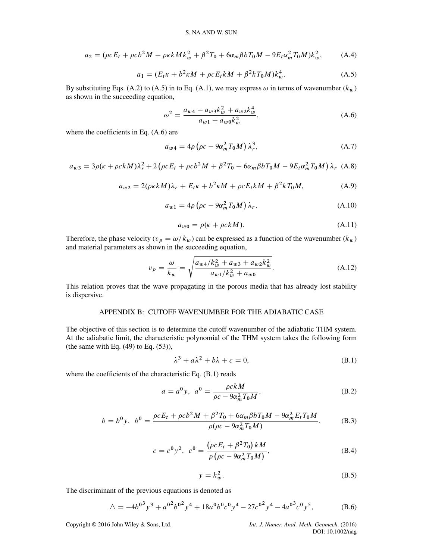$$
a_2 = (\rho c E_t + \rho c b^2 M + \rho \kappa k M k_w^2 + \beta^2 T_0 + 6 \alpha_m \beta b T_0 M - 9 E_t \alpha_m^2 T_0 M) k_w^2, \tag{A.4}
$$

$$
a_1 = (E_t \kappa + b^2 \kappa M + \rho c E_t k M + \beta^2 k T_0 M) k_w^4.
$$
 (A.5)

By substituting Eqs. (A.2) to (A.5) in to Eq. (A.1), we may express  $\omega$  in terms of wavenumber ( $k_w$ ) as shown in the succeeding equation,

$$
\omega^2 = \frac{a_{w4} + a_{w3}k_w^2 + a_{w2}k_w^4}{a_{w1} + a_{w0}k_w^2},\tag{A.6}
$$

where the coefficients in Eq. (A.6) are

$$
a_{w4} = 4\rho \left(\rho c - 9\alpha_m^2 T_0 M\right) \lambda_r^3, \tag{A.7}
$$

$$
a_{w3} = 3\rho(\kappa + \rho c k M)\lambda_r^2 + 2(\rho c E_t + \rho c b^2 M + \beta^2 T_0 + 6\alpha_m \beta b T_0 M - 9E_t \alpha_m^2 T_0 M)\lambda_r
$$
 (A.8)

$$
a_{w2} = 2(\rho \kappa k M)\lambda_r + E_t \kappa + b^2 \kappa M + \rho c E_t k M + \beta^2 k T_0 M, \tag{A.9}
$$

$$
a_{w1} = 4\rho \left(\rho c - 9\alpha_m^2 T_0 M\right) \lambda_r, \tag{A.10}
$$

$$
a_{w0} = \rho(\kappa + \rho ckM). \tag{A.11}
$$

Therefore, the phase velocity ( $v_p = \omega / k_w$ ) can be expressed as a function of the wavenumber ( $k_w$ ) and material parameters as shown in the succeeding equation,

$$
v_p = \frac{\omega}{k_w} = \sqrt{\frac{a_{w4}/k_w^2 + a_{w3} + a_{w2}k_w^2}{a_{w1}/k_w^2 + a_{w0}}}.
$$
 (A.12)

This relation proves that the wave propagating in the porous media that has already lost stability is dispersive.

# APPENDIX B: CUTOFF WAVENUMBER FOR THE ADIABATIC CASE

The objective of this section is to determine the cutoff wavenumber of the adiabatic THM system. At the adiabatic limit, the characteristic polynomial of the THM system takes the following form (the same with Eq.  $(49)$  to Eq.  $(53)$ ),

$$
\lambda^3 + a\lambda^2 + b\lambda + c = 0,\tag{B.1}
$$

where the coefficients of the characteristic Eq. (B.1) reads

$$
a = a^{0} y, \ a^{0} = \frac{\rho c k M}{\rho c - 9\alpha_{m}^{2} T_{0} M},
$$
\n(B.2)

$$
b = b^{0}y, \ \ b^{0} = \frac{\rho c E_{t} + \rho c b^{2} M + \beta^{2} T_{0} + 6 \alpha_{m} \beta b T_{0} M - 9 \alpha_{m}^{2} E_{t} T_{0} M}{\rho (\rho c - 9 \alpha_{m}^{2} T_{0} M)}, \tag{B.3}
$$

$$
c = c^{0} y^{2}, \ c^{0} = \frac{\left(\rho c E_{t} + \beta^{2} T_{0}\right) k M}{\rho \left(\rho c - 9 \alpha_{m}^{2} T_{0} M\right)}, \tag{B.4}
$$

$$
y = k_w^2. \tag{B.5}
$$

The discriminant of the previous equations is denoted as

$$
\Delta = -4b^{0}y^{3} + a^{0}b^{0}y^{4} + 18a^{0}b^{0}c^{0}y^{4} - 27c^{0}y^{4} - 4a^{0}c^{0}y^{5}, \tag{B.6}
$$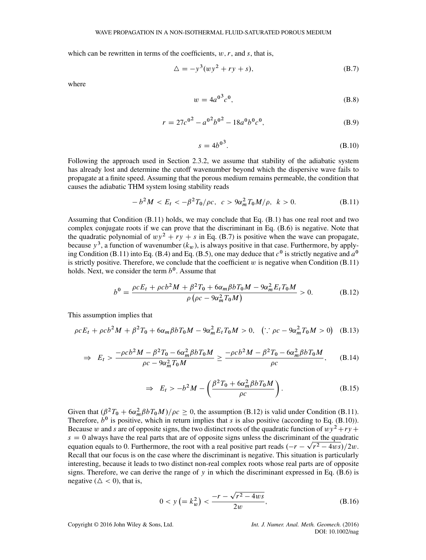which can be rewritten in terms of the coefficients,  $w, r$ , and  $s$ , that is,

$$
\Delta = -y^3 (wy^2 + ry + s), \tag{B.7}
$$

where

$$
w = 4a^{0^3}c^0,
$$
 (B.8)

$$
r = 27c^{0^2} - a^{0^2}b^{0^2} - 18a^0b^0c^0,
$$
 (B.9)

$$
s = 4b^{0^3}.
$$
 (B.10)

Following the approach used in Section 2.3.2, we assume that stability of the adiabatic system has already lost and determine the cutoff wavenumber beyond which the dispersive wave fails to propagate at a finite speed. Assuming that the porous medium remains permeable, the condition that causes the adiabatic THM system losing stability reads

$$
-b2M < Et < -\beta2T0/\rho c, \ c > 9\alpham2T0M/\rho, \ k > 0.
$$
 (B.11)

Assuming that Condition (B.11) holds, we may conclude that Eq. (B.1) has one real root and two complex conjugate roots if we can prove that the discriminant in Eq. (B.6) is negative. Note that the quadratic polynomial of  $wy^2 + ry + s$  in Eq. (B.7) is positive when the wave can propagate, because  $y^3$ , a function of wavenumber  $(k_w)$ , is always positive in that case. Furthermore, by applying Condition (B.11) into Eq. (B.4) and Eq. (B.5), one may deduce that  $c<sup>0</sup>$  is strictly negative and  $a<sup>0</sup>$ is strictly positive. Therefore, we conclude that the coefficient  $w$  is negative when Condition (B.11) holds. Next, we consider the term  $b^0$ . Assume that

$$
b^{0} = \frac{\rho c E_{t} + \rho c b^{2} M + \beta^{2} T_{0} + 6 \alpha_{m} \beta b T_{0} M - 9 \alpha_{m}^{2} E_{t} T_{0} M}{\rho \left( \rho c - 9 \alpha_{m}^{2} T_{0} M \right)} > 0.
$$
 (B.12)

This assumption implies that

$$
\rho c E_t + \rho c b^2 M + \beta^2 T_0 + 6 \alpha_m \beta b T_0 M - 9 \alpha_m^2 E_t T_0 M > 0, \quad (\because \rho c - 9 \alpha_m^2 T_0 M > 0) \quad (B.13)
$$

$$
\Rightarrow E_t > \frac{-\rho c b^2 M - \beta^2 T_0 - 6\alpha_m^2 \beta b T_0 M}{\rho c - 9\alpha_m^2 T_0 M} \ge \frac{-\rho c b^2 M - \beta^2 T_0 - 6\alpha_m^2 \beta b T_0 M}{\rho c}, \quad (B.14)
$$

$$
\Rightarrow E_t > -b^2 M - \left(\frac{\beta^2 T_0 + 6\alpha_m^2 \beta b T_0 M}{\rho c}\right).
$$
 (B.15)

Given that  $(\beta^2T_0 + 6\alpha_m^2 \beta bT_0M)/\rho c \ge 0$ , the assumption (B.12) is valid under Condition (B.11). Therefore,  $b^0$  is positive, which in return implies that s is also positive (according to Eq. (B.10)). Because w and s are of opposite signs, the two distinct roots of the quadratic function of  $w^2+rv+$  $s = 0$  always have the real parts that are of opposite signs unless the discriminant of the quadratic equation equals to 0. Furthermore, the root with a real positive part reads  $(-r - \sqrt{r^2 - 4w s})/2w$ . Recall that our focus is on the case where the discriminant is negative. This situation is particularly interesting, because it leads to two distinct non-real complex roots whose real parts are of opposite signs. Therefore, we can derive the range of y in which the discriminant expressed in Eq. (B.6) is negative ( $\Delta < 0$ ), that is,

$$
0 < y \left( = k_w^2 \right) < \frac{-r - \sqrt{r^2 - 4ws}}{2w},\tag{B.16}
$$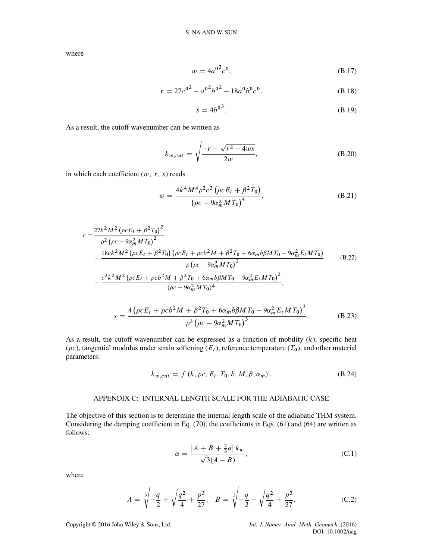where

$$
w = 4a^{03}c^0,
$$
 (B.17)

$$
r = 27c^{0^2} - a^{0^2}b^{0^2} - 18a^0b^0c^0,
$$
 (B.18)

$$
s = 4b^{0^3}.
$$
 (B.19)

As a result, the cutoff wavenumber can be written as

$$
k_{w,cut} = \sqrt{\frac{-r - \sqrt{r^2 - 4ws}}{2w}},
$$
\n(B.20)

in which each coefficient  $(w, r, s)$  reads

$$
w = \frac{4k^4 M^4 \rho^2 c^3 \left(\rho c E_t + \beta^2 T_0\right)}{\left(\rho c - 9\alpha_m^2 M T_0\right)^4},
$$
\n(B.21)

$$
r = \frac{27k^2M^2(\rho c E_t + \beta^2 T_0)^2}{\rho^2(\rho c - 9\alpha_m^2 M T_0)^2} - \frac{18ck^2M^2(\rho c E_t + \beta^2 T_0)(\rho c E_t + \rho cb^2M + \beta^2 T_0 + 6\alpha_m b\beta MT_0 - 9\alpha_m^2 E_t MT_0)}{\rho(\rho c - 9\alpha_m^2 MT_0)^3} \qquad (B.22)
$$
  
- 
$$
\frac{c^2k^2M^2(\rho c E_t + \rho cb^2M + \beta^2 T_0 + 6\alpha_m b\beta MT_0 - 9\alpha_m^2 E_t MT_0)^2}{(\rho c - 9\alpha_m^2 MT_0)^4},
$$

$$
s = \frac{4\left(\rho c E_t + \rho c b^2 M + \beta^2 T_0 + 6\alpha_m b \beta M T_0 - 9\alpha_m^2 E_t M T_0\right)^3}{\rho^3 \left(\rho c - 9\alpha_m^2 M T_0\right)^3}.
$$
 (B.23)

As a result, the cutoff wavenumber can be expressed as a function of mobility  $(k)$ , specific heat ( $\rho c$ ), tangential modulus under strain softening ( $E_t$ ), reference temperature ( $T_0$ ), and other material parameters:

$$
k_{w,cut} = f(k, \rho c, E_t, T_0, b, M, \beta, \alpha_m).
$$
 (B.24)

# APPENDIX C: INTERNAL LENGTH SCALE FOR THE ADIABATIC CASE

The objective of this section is to determine the internal length scale of the adiabatic THM system. Considering the damping coefficient in Eq. (70), the coefficients in Eqs. (61) and (64) are written as follows:

$$
\alpha = \frac{|A + B + \frac{2}{3}a|k_w}{\sqrt{3}(A - B)},
$$
\n(C.1)

where

$$
A = \sqrt[3]{-\frac{q}{2} + \sqrt{\frac{q^2}{4} + \frac{p^3}{27}}}, \quad B = \sqrt[3]{-\frac{q}{2} - \sqrt{\frac{q^2}{4} + \frac{p^3}{27}}}, \quad (C.2)
$$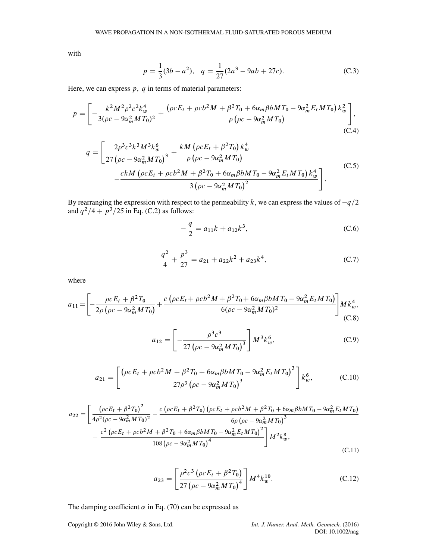with

$$
p = \frac{1}{3}(3b - a^2), \quad q = \frac{1}{27}(2a^3 - 9ab + 27c).
$$
 (C.3)

Here, we can express  $p$ ,  $q$  in terms of material parameters:

$$
p = \left[ -\frac{k^2 M^2 \rho^2 c^2 k_w^4}{3(\rho c - 9\alpha_m^2 M T_0)^2} + \frac{(\rho c E_t + \rho c b^2 M + \beta^2 T_0 + 6\alpha_m \beta b M T_0 - 9\alpha_m^2 E_t M T_0) k_w^2}{\rho (\rho c - 9\alpha_m^2 M T_0)} \right],
$$
(C.4)

$$
q = \left[ \frac{2\rho^3 c^3 k^3 M^3 k_w^6}{27 \left( \rho c - 9\alpha_m^2 M T_0 \right)^3} + \frac{k M \left( \rho c E_t + \beta^2 T_0 \right) k_w^4}{\rho \left( \rho c - 9\alpha_m^2 M T_0 \right)} - \frac{ck M \left( \rho c E_t + \rho c b^2 M + \beta^2 T_0 + 6\alpha_m \beta b M T_0 - 9\alpha_m^2 E_t M T_0 \right) k_w^4}{3 \left( \rho c - 9\alpha_m^2 M T_0 \right)^2} \right].
$$
 (C.5)

By rearranging the expression with respect to the permeability k, we can express the values of  $-q/2$ and  $q^2/4 + p^3/25$  in Eq. (C.2) as follows:

$$
-\frac{q}{2} = a_{11}k + a_{12}k^3,
$$
\n(C.6)

$$
\frac{q^2}{4} + \frac{p^3}{27} = a_{21} + a_{22}k^2 + a_{23}k^4,\tag{C.7}
$$

where

$$
a_{11} = \left[ -\frac{\rho c E_t + \beta^2 T_0}{2\rho \left(\rho c - 9\alpha_m^2 M T_0\right)} + \frac{c \left(\rho c E_t + \rho c b^2 M + \beta^2 T_0 + 6\alpha_m \beta b M T_0 - 9\alpha_m^2 E_t M T_0\right)}{6(\rho c - 9\alpha_m^2 M T_0)^2} \right] M k_w^4,
$$
(C.8)

$$
a_{12} = \left[ -\frac{\rho^3 c^3}{27 \left( \rho c - 9\alpha_m^2 M T_0 \right)^3} \right] M^3 k_w^6, \tag{C.9}
$$

$$
a_{21} = \left[ \frac{\left( \rho c E_t + \rho c b^2 M + \beta^2 T_0 + 6 \alpha_m \beta b M T_0 - 9 \alpha_m^2 E_t M T_0 \right)^3}{27 \rho^3 \left( \rho c - 9 \alpha_m^2 M T_0 \right)^3} \right] k_w^6, \tag{C.10}
$$

$$
a_{22} = \left[ \frac{\left( \rho c E_t + \beta^2 T_0 \right)^2}{4\rho^2 (\rho c - 9\alpha_m^2 M T_0)^2} - \frac{c \left( \rho c E_t + \beta^2 T_0 \right) \left( \rho c E_t + \rho c b^2 M + \beta^2 T_0 + 6\alpha_m \beta b M T_0 - 9\alpha_m^2 E_t M T_0 \right)}{6\rho \left( \rho c - 9\alpha_m^2 M T_0 \right)^3} - \frac{c^2 \left( \rho c E_t + \rho c b^2 M + \beta^2 T_0 + 6\alpha_m \beta b M T_0 - 9\alpha_m^2 E_t M T_0 \right)^2}{108 \left( \rho c - 9\alpha_m^2 M T_0 \right)^4} \right] M^2 k_w^8,
$$
\n(C.11)

$$
a_{23} = \left[\frac{\rho^2 c^3 \left(\rho c E_t + \beta^2 T_0\right)}{27 \left(\rho c - 9\alpha_m^2 M T_0\right)^4}\right] M^4 k_w^{10}.
$$
 (C.12)

The damping coefficient  $\alpha$  in Eq. (70) can be expressed as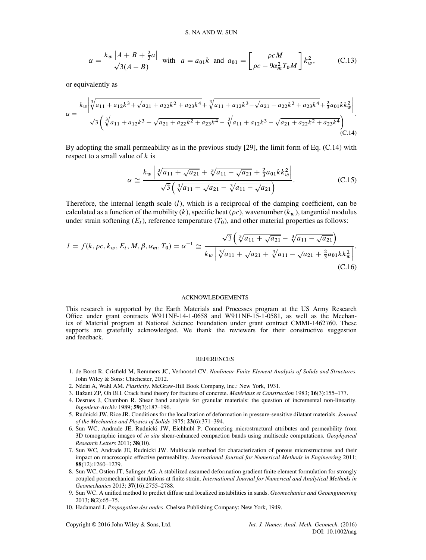$$
\alpha = \frac{k_w \left| A + B + \frac{2}{3}a \right|}{\sqrt{3}(A - B)}
$$
 with  $a = a_{01}k$  and  $a_{01} = \left[ \frac{\rho c M}{\rho c - 9\alpha_m^2 T_0 M} \right] k_w^2$ , (C.13)

or equivalently as

$$
\alpha = \frac{k_w \left| \sqrt[3]{a_{11} + a_{12}k^3 + \sqrt{a_{21} + a_{22}k^2 + a_{23}k^4}} + \sqrt[3]{a_{11} + a_{12}k^3 - \sqrt{a_{21} + a_{22}k^2 + a_{23}k^4}} + \frac{2}{3}a_{01}kk_w^2 \right|}{\sqrt{3} \left( \sqrt[3]{a_{11} + a_{12}k^3 + \sqrt{a_{21} + a_{22}k^2 + a_{23}k^4}} - \sqrt[3]{a_{11} + a_{12}k^3 - \sqrt{a_{21} + a_{22}k^2 + a_{23}k^4}} \right)}.
$$
\n(C.14)

By adopting the small permeability as in the previous study [29], the limit form of Eq. (C.14) with respect to a small value of  $k$  is

$$
\alpha \simeq \frac{k_w \left| \sqrt[3]{a_{11} + \sqrt{a_{21}}} + \sqrt[3]{a_{11} - \sqrt{a_{21}}} + \frac{2}{3} a_{01} k k_w^2 \right|}{\sqrt{3} \left( \sqrt[3]{a_{11} + \sqrt{a_{21}}} - \sqrt[3]{a_{11} - \sqrt{a_{21}}} \right)}.
$$
 (C.15)

Therefore, the internal length scale  $(l)$ , which is a reciprocal of the damping coefficient, can be calculated as a function of the mobility  $(k)$ , specific heat ( $\rho c$ ), wavenumber  $(k_w)$ , tangential modulus under strain softening  $(E_t)$ , reference temperature  $(T_0)$ , and other material properties as follows:

$$
l = f(k, \rho c, k_w, E_t, M, \beta, \alpha_m, T_0) = \alpha^{-1} \approx \frac{\sqrt{3} \left( \sqrt[3]{a_{11} + \sqrt{a_{21}}} - \sqrt[3]{a_{11} - \sqrt{a_{21}}} \right)}{k_w \left| \sqrt[3]{a_{11} + \sqrt{a_{21}}} + \sqrt[3]{a_{11} - \sqrt{a_{21}}} + \frac{2}{3} a_{01} k k_w^2 \right|}.
$$
\n(C.16)

#### ACKNOWLEDGEMENTS

This research is supported by the Earth Materials and Processes program at the US Army Research Office under grant contracts W911NF-14-1-0658 and W911NF-15-1-0581, as well as the Mechanics of Material program at National Science Foundation under grant contract CMMI-1462760. These supports are gratefully acknowledged. We thank the reviewers for their constructive suggestion and feedback.

#### **REFERENCES**

- 1. de Borst R, Crisfield M, Remmers JC, Verhoosel CV. *Nonlinear Finite Element Analysis of Solids and Structures*. John Wiley & Sons: Chichester, 2012.
- 2. Nádai A, Wahl AM. *Plasticity*. McGraw-Hill Book Company, Inc.: New York, 1931.
- 3. Bažant ZP, Oh BH. Crack band theory for fracture of concrete. *Matériaux et Construction* 1983; **16**(3):155–177.
- 4. Desrues J, Chambon R. Shear band analysis for granular materials: the question of incremental non-linearity. *Ingenieur-Archiv* 1989; **59**(3):187–196.
- 5. Rudnicki JW, Rice JR. Conditions for the localization of deformation in pressure-sensitive dilatant materials. *Journal of the Mechanics and Physics of Solids* 1975; **23**(6):371–394.
- 6. Sun WC, Andrade JE, Rudnicki JW, Eichhubl P. Connecting microstructural attributes and permeability from 3D tomographic images of *in situ* shear-enhanced compaction bands using multiscale computations. *Geophysical Research Letters* 2011; **38**(10).
- 7. Sun WC, Andrade JE, Rudnicki JW. Multiscale method for characterization of porous microstructures and their impact on macroscopic effective permeability. *International Journal for Numerical Methods in Engineering* 2011; **88**(12):1260–1279.
- 8. Sun WC, Ostien JT, Salinger AG. A stabilized assumed deformation gradient finite element formulation for strongly coupled poromechanical simulations at finite strain. *International Journal for Numerical and Analytical Methods in Geomechanics* 2013; **37**(16):2755–2788.
- 9. Sun WC. A unified method to predict diffuse and localized instabilities in sands. *Geomechanics and Geoengineering* 2013; **8**(2):65–75.
- 10. Hadamard J. *Propagation des ondes*. Chelsea Publishing Company: New York, 1949.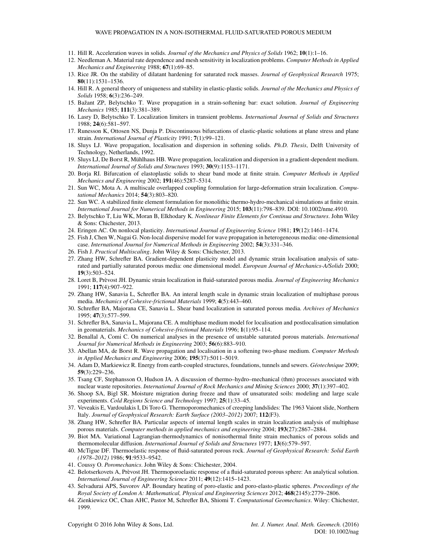- 11. Hill R. Acceleration waves in solids. *Journal of the Mechanics and Physics of Solids* 1962; **10**(1):1–16.
- 12. Needleman A. Material rate dependence and mesh sensitivity in localization problems. *Computer Methods in Applied Mechanics and Engineering* 1988; **67**(1):69–85.
- 13. Rice JR. On the stability of dilatant hardening for saturated rock masses. *Journal of Geophysical Research* 1975; **80**(11):1531–1536.
- 14. Hill R. A general theory of uniqueness and stability in elastic-plastic solids. *Journal of the Mechanics and Physics of Solids* 1958; **6**(3):236–249.
- 15. Bažant ZP, Belytschko T. Wave propagation in a strain-softening bar: exact solution. *Journal of Engineering Mechanics* 1985; **111**(3):381–389.
- 16. Lasry D, Belytschko T. Localization limiters in transient problems. *International Journal of Solids and Structures* 1988; **24**(6):581–597.
- 17. Runesson K, Ottosen NS, Dunja P. Discontinuous bifurcations of elastic-plastic solutions at plane stress and plane strain. *International Journal of Plasticity* 1991; **7**(1):99–121.
- 18. Sluys LJ. Wave propagation, localisation and dispersion in softening solids. *Ph.D. Thesis*, Delft University of Technology, Netherlands, 1992.
- 19. Sluys LJ, De Borst R, Mühlhaus HB. Wave propagation, localization and dispersion in a gradient-dependent medium. *International Journal of Solids and Structures* 1993; **30**(9):1153–1171.
- 20. Borja RI. Bifurcation of elastoplastic solids to shear band mode at finite strain. *Computer Methods in Applied Mechanics and Engineering* 2002; **191**(46):5287–5314.
- 21. Sun WC, Mota A. A multiscale overlapped coupling formulation for large-deformation strain localization. *Computational Mechanics* 2014; **54**(3):803–820.
- 22. Sun WC. A stabilized finite element formulation for monolithic thermo-hydro-mechanical simulations at finite strain. *International Journal for Numerical Methods in Engineering* 2015; **103**(11):798–839. DOI: 10.1002/nme.4910.
- 23. Belytschko T, Liu WK, Moran B, Elkhodary K. *Nonlinear Finite Elements for Continua and Structures*. John Wiley & Sons: Chichester, 2013.
- 24. Eringen AC. On nonlocal plasticity. *International Journal of Engineering Science* 1981; **19**(12):1461–1474.
- 25. Fish J, Chen W, Nagai G. Non-local dispersive model for wave propagation in heterogeneous media: one-dimensional case. *International Journal for Numerical Methods in Engineering* 2002; **54**(3):331–346.
- 26. Fish J. *Practical Multiscaling*. John Wiley & Sons: Chichester, 2013.
- 27. Zhang HW, Schrefler BA. Gradient-dependent plasticity model and dynamic strain localisation analysis of saturated and partially saturated porous media: one dimensional model. *European Journal of Mechanics-A/Solids* 2000; **19**(3):503–524.
- 28. Loret B, Prèvost JH. Dynamic strain localization in fluid-saturated porous media. *Journal of Engineering Mechanics* 1991; **117**(4):907–922.
- 29. Zhang HW, Sanavia L, Schrefler BA. An interal length scale in dynamic strain localization of multiphase porous media. *Mechanics of Cohesive-frictional Materials* 1999; **4**(5):443–460.
- 30. Schrefler BA, Majorana CE, Sanavia L. Shear band localization in saturated porous media. *Archives of Mechanics* 1995; **47**(3):577–599.
- 31. Schrefler BA, Sanavia L, Majorana CE. A multiphase medium model for localisation and postlocalisation simulation in geomaterials. *Mechanics of Cohesive-frictional Materials* 1996; **1**(1):95–114.
- 32. Benallal A, Comi C. On numerical analyses in the presence of unstable saturated porous materials. *International Journal for Numerical Methods in Engineering* 2003; **56**(6):883–910.
- 33. Abellan MA, de Borst R. Wave propagation and localisation in a softening two-phase medium. *Computer Methods in Applied Mechanics and Engineering* 2006; **195**(37):5011–5019.
- 34. Adam D, Markiewicz R. Energy from earth-coupled structures, foundations, tunnels and sewers. *Géotechnique* 2009; **59**(3):229–236.
- 35. Tsang CF, Stephansson O, Hudson JA. A discussion of thermo–hydro–mechanical (thm) processes associated with nuclear waste repositories. *International Journal of Rock Mechanics and Mining Sciences* 2000; **37**(1):397–402.
- 36. Shoop SA, Bigl SR. Moisture migration during freeze and thaw of unsaturated soils: modeling and large scale experiments. *Cold Regions Science and Technology* 1997; **25**(1):33–45.
- 37. Veveakis E, Vardoulakis I, Di Toro G. Thermoporomechanics of creeping landslides: The 1963 Vaiont slide, Northern Italy. *Journal of Geophysical Research: Earth Surface (2003–2012)* 2007; **112**(F3).
- 38. Zhang HW, Schrefler BA. Particular aspects of internal length scales in strain localization analysis of multiphase porous materials. *Computer methods in applied mechanics and engineering* 2004; **193**(27):2867–2884.
- 39. Biot MA. Variational Lagrangian-thermodynamics of nonisothermal finite strain mechanics of porous solids and thermomolecular diffusion. *International Journal of Solids and Structures* 1977; **13**(6):579–597.
- 40. McTigue DF. Thermoelastic response of fluid-saturated porous rock. *Journal of Geophysical Research: Solid Earth (1978–2012)* 1986; **91**:9533–9542.
- 41. Coussy O. *Poromechanics*. John Wiley & Sons: Chichester, 2004.
- 42. Belotserkovets A, Prèvost JH. Thermoporoelastic response of a fluid-saturated porous sphere: An analytical solution. *International Journal of Engineering Science* 2011; **49**(12):1415–1423.
- 43. Selvadurai APS, Suvorov AP. Boundary heating of poro-elastic and poro-elasto-plastic spheres. *Proceedings of the Royal Society of London A: Mathematical, Physical and Engineering Sciences* 2012; **468**(2145):2779–2806.
- 44. Zienkiewicz OC, Chan AHC, Pastor M, Schrefler BA, Shiomi T. *Computational Geomechanics*. Wiley: Chichester, 1999.